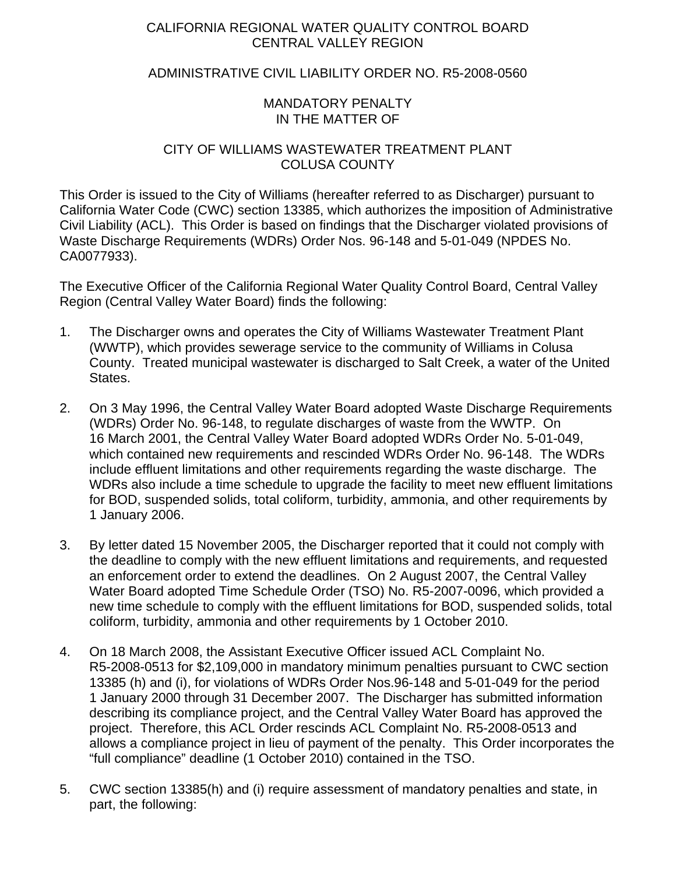# CALIFORNIA REGIONAL WATER QUALITY CONTROL BOARD CENTRAL VALLEY REGION

# ADMINISTRATIVE CIVIL LIABILITY ORDER NO. R5-2008-0560

## MANDATORY PENALTY IN THE MATTER OF

### CITY OF WILLIAMS WASTEWATER TREATMENT PLANT COLUSA COUNTY

This Order is issued to the City of Williams (hereafter referred to as Discharger) pursuant to California Water Code (CWC) section 13385, which authorizes the imposition of Administrative Civil Liability (ACL). This Order is based on findings that the Discharger violated provisions of Waste Discharge Requirements (WDRs) Order Nos. 96-148 and 5-01-049 (NPDES No. CA0077933).

The Executive Officer of the California Regional Water Quality Control Board, Central Valley Region (Central Valley Water Board) finds the following:

- 1. The Discharger owns and operates the City of Williams Wastewater Treatment Plant (WWTP), which provides sewerage service to the community of Williams in Colusa County. Treated municipal wastewater is discharged to Salt Creek, a water of the United States.
- 2. On 3 May 1996, the Central Valley Water Board adopted Waste Discharge Requirements (WDRs) Order No. 96-148, to regulate discharges of waste from the WWTP. On 16 March 2001, the Central Valley Water Board adopted WDRs Order No. 5-01-049, which contained new requirements and rescinded WDRs Order No. 96-148. The WDRs include effluent limitations and other requirements regarding the waste discharge. The WDRs also include a time schedule to upgrade the facility to meet new effluent limitations for BOD, suspended solids, total coliform, turbidity, ammonia, and other requirements by 1 January 2006.
- 3. By letter dated 15 November 2005, the Discharger reported that it could not comply with the deadline to comply with the new effluent limitations and requirements, and requested an enforcement order to extend the deadlines. On 2 August 2007, the Central Valley Water Board adopted Time Schedule Order (TSO) No. R5-2007-0096, which provided a new time schedule to comply with the effluent limitations for BOD, suspended solids, total coliform, turbidity, ammonia and other requirements by 1 October 2010.
- 4. On 18 March 2008, the Assistant Executive Officer issued ACL Complaint No. R5-2008-0513 for \$2,109,000 in mandatory minimum penalties pursuant to CWC section 13385 (h) and (i), for violations of WDRs Order Nos.96-148 and 5-01-049 for the period 1 January 2000 through 31 December 2007. The Discharger has submitted information describing its compliance project, and the Central Valley Water Board has approved the project. Therefore, this ACL Order rescinds ACL Complaint No. R5-2008-0513 and allows a compliance project in lieu of payment of the penalty. This Order incorporates the "full compliance" deadline (1 October 2010) contained in the TSO.
- 5. CWC section 13385(h) and (i) require assessment of mandatory penalties and state, in part, the following: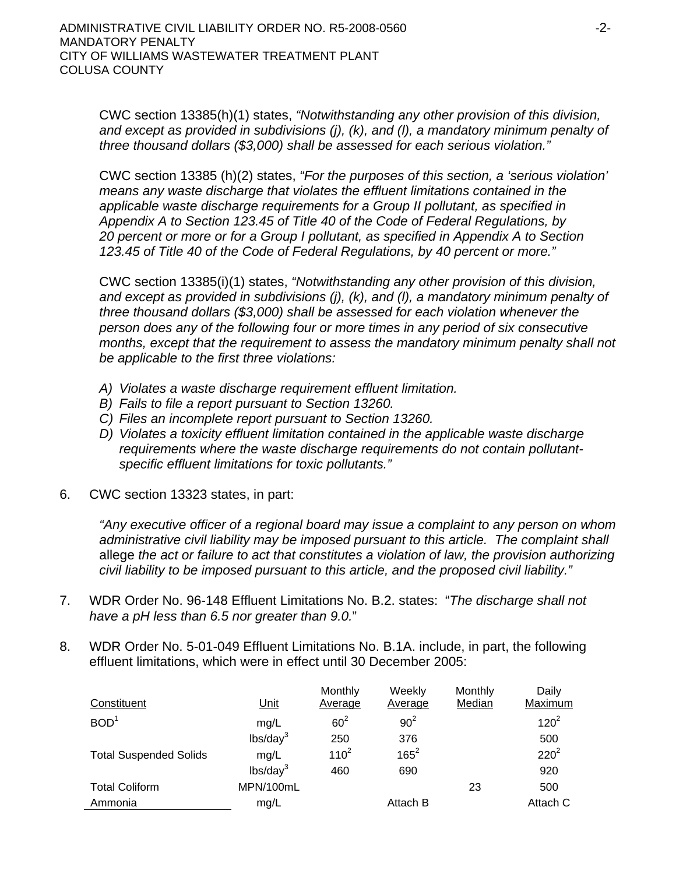CWC section 13385(h)(1) states, *"Notwithstanding any other provision of this division, and except as provided in subdivisions (j), (k), and (l), a mandatory minimum penalty of three thousand dollars (\$3,000) shall be assessed for each serious violation."* 

CWC section 13385 (h)(2) states, *"For the purposes of this section, a 'serious violation' means any waste discharge that violates the effluent limitations contained in the applicable waste discharge requirements for a Group II pollutant, as specified in Appendix A to Section 123.45 of Title 40 of the Code of Federal Regulations, by 20 percent or more or for a Group I pollutant, as specified in Appendix A to Section 123.45 of Title 40 of the Code of Federal Regulations, by 40 percent or more."* 

CWC section 13385(i)(1) states, *"Notwithstanding any other provision of this division, and except as provided in subdivisions (j), (k), and (l), a mandatory minimum penalty of three thousand dollars (\$3,000) shall be assessed for each violation whenever the person does any of the following four or more times in any period of six consecutive months, except that the requirement to assess the mandatory minimum penalty shall not be applicable to the first three violations:*

- *A) Violates a waste discharge requirement effluent limitation.*
- *B) Fails to file a report pursuant to Section 13260.*
- *C) Files an incomplete report pursuant to Section 13260.*
- *D) Violates a toxicity effluent limitation contained in the applicable waste discharge requirements where the waste discharge requirements do not contain pollutantspecific effluent limitations for toxic pollutants."*
- 6. CWC section 13323 states, in part:

*"Any executive officer of a regional board may issue a complaint to any person on whom administrative civil liability may be imposed pursuant to this article. The complaint shall*  allege *the act or failure to act that constitutes a violation of law, the provision authorizing civil liability to be imposed pursuant to this article, and the proposed civil liability."*

- 7. WDR Order No. 96-148 Effluent Limitations No. B.2. states: "*The discharge shall not have a pH less than 6.5 nor greater than 9.0.*"
- 8. WDR Order No. 5-01-049 Effluent Limitations No. B.1A. include, in part, the following effluent limitations, which were in effect until 30 December 2005:

| Constituent                   | <u>Unit</u>          | Monthly<br>Average | Weekly<br>Average | Monthly<br>Median | Daily<br>Maximum |
|-------------------------------|----------------------|--------------------|-------------------|-------------------|------------------|
| BOD <sup>1</sup>              | mg/L                 | $60^2$             | $90^2$            |                   | $120^2$          |
|                               | lbs/day <sup>3</sup> | 250                | 376               |                   | 500              |
| <b>Total Suspended Solids</b> | mg/L                 | $110^2$            | $165^2$           |                   | $220^2$          |
|                               | lbs/day <sup>3</sup> | 460                | 690               |                   | 920              |
| <b>Total Coliform</b>         | MPN/100mL            |                    |                   | 23                | 500              |
| Ammonia                       | mg/L                 |                    | Attach B          |                   | Attach C         |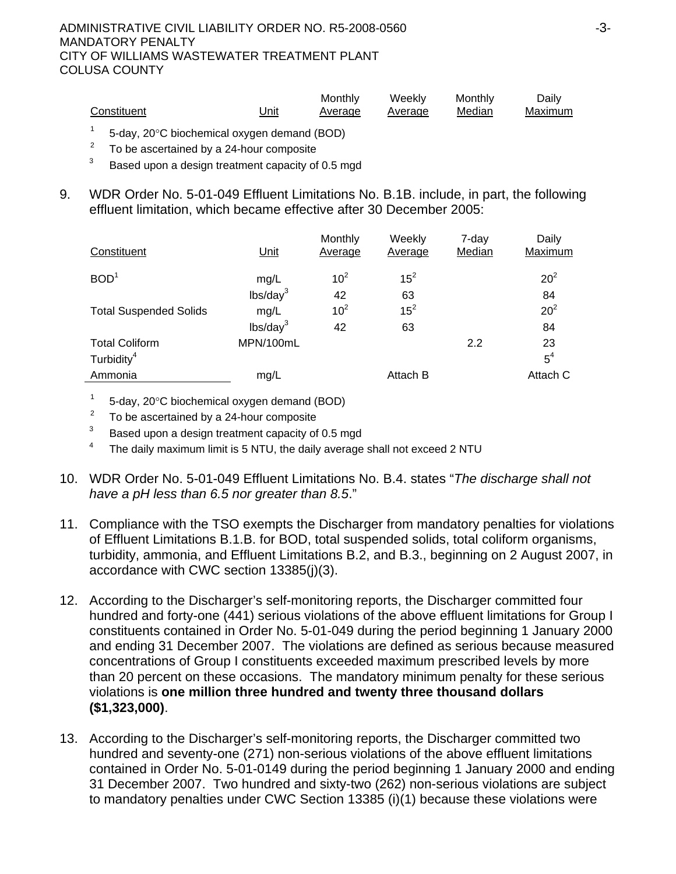|             |                                                           | Monthly | Weekly  | Monthly | Daily   |
|-------------|-----------------------------------------------------------|---------|---------|---------|---------|
| Constituent | Unit<br><u> The Communication of the Communication of</u> | Average | Average | Median  | Maximum |

- $1 5$ -day, 20 $\degree$ C biochemical oxygen demand (BOD)
- $2^2$  To be ascertained by a 24-hour composite
- $3$  Based upon a design treatment capacity of 0.5 mgd
- 9. WDR Order No. 5-01-049 Effluent Limitations No. B.1B. include, in part, the following effluent limitation, which became effective after 30 December 2005:

| Constituent                   | <u>Unit</u>          | Monthly<br>Average | Weekly<br>Average | 7-day<br>Median | Daily<br>Maximum |
|-------------------------------|----------------------|--------------------|-------------------|-----------------|------------------|
| BOD <sup>1</sup>              | mg/L                 | 10 <sup>2</sup>    | $15^2$            |                 | 20 <sup>2</sup>  |
|                               | lbs/day <sup>3</sup> | 42                 | 63                |                 | 84               |
| <b>Total Suspended Solids</b> | mg/L                 | 10 <sup>2</sup>    | $15^2$            |                 | $20^2$           |
|                               | lbs/day <sup>3</sup> | 42                 | 63                |                 | 84               |
| <b>Total Coliform</b>         | MPN/100mL            |                    |                   | 2.2             | 23               |
| Turbidity <sup>4</sup>        |                      |                    |                   |                 | $5^4$            |
| Ammonia                       | mg/L                 |                    | Attach B          |                 | Attach C         |

 $1 - 5$ -day, 20 $\degree$ C biochemical oxygen demand (BOD)

To be ascertained by a 24-hour composite

 $3$  Based upon a design treatment capacity of 0.5 mgd

- <sup>4</sup> The daily maximum limit is 5 NTU, the daily average shall not exceed 2 NTU
- 10. WDR Order No. 5-01-049 Effluent Limitations No. B.4. states "*The discharge shall not have a pH less than 6.5 nor greater than 8.5*."
- 11. Compliance with the TSO exempts the Discharger from mandatory penalties for violations of Effluent Limitations B.1.B. for BOD, total suspended solids, total coliform organisms, turbidity, ammonia, and Effluent Limitations B.2, and B.3., beginning on 2 August 2007, in accordance with CWC section 13385(j)(3).
- 12. According to the Discharger's self-monitoring reports, the Discharger committed four hundred and forty-one (441) serious violations of the above effluent limitations for Group I constituents contained in Order No. 5-01-049 during the period beginning 1 January 2000 and ending 31 December 2007. The violations are defined as serious because measured concentrations of Group I constituents exceeded maximum prescribed levels by more than 20 percent on these occasions. The mandatory minimum penalty for these serious violations is **one million three hundred and twenty three thousand dollars (\$1,323,000)**.
- 13. According to the Discharger's self-monitoring reports, the Discharger committed two hundred and seventy-one (271) non-serious violations of the above effluent limitations contained in Order No. 5-01-0149 during the period beginning 1 January 2000 and ending 31 December 2007. Two hundred and sixty-two (262) non-serious violations are subject to mandatory penalties under CWC Section 13385 (i)(1) because these violations were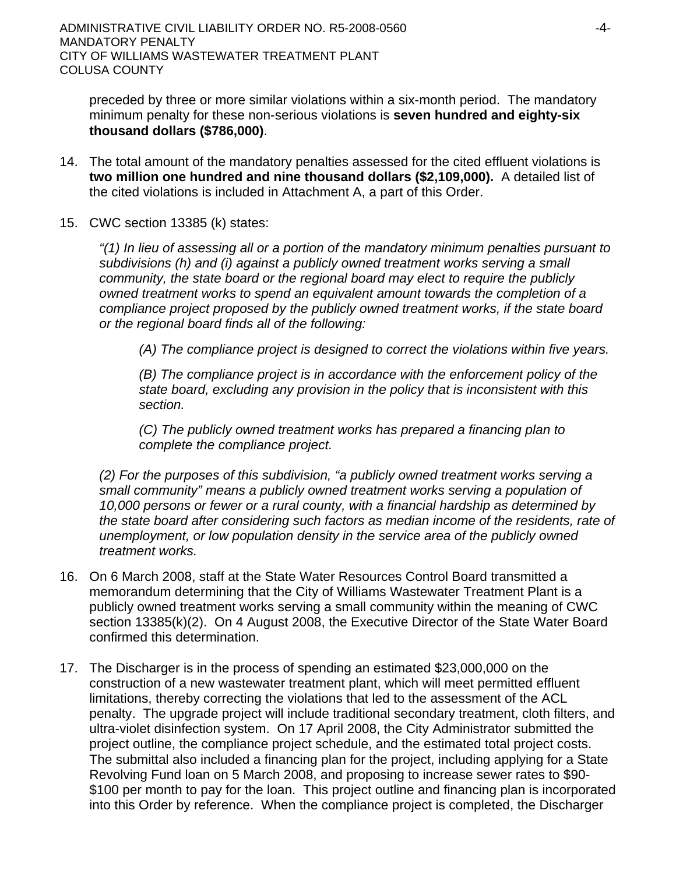preceded by three or more similar violations within a six-month period. The mandatory minimum penalty for these non-serious violations is **seven hundred and eighty-six thousand dollars (\$786,000)**.

- 14. The total amount of the mandatory penalties assessed for the cited effluent violations is **two million one hundred and nine thousand dollars (\$2,109,000).** A detailed list of the cited violations is included in Attachment A, a part of this Order.
- 15. CWC section 13385 (k) states:

*"(1) In lieu of assessing all or a portion of the mandatory minimum penalties pursuant to subdivisions (h) and (i) against a publicly owned treatment works serving a small community, the state board or the regional board may elect to require the publicly owned treatment works to spend an equivalent amount towards the completion of a compliance project proposed by the publicly owned treatment works, if the state board or the regional board finds all of the following:* 

*(A) The compliance project is designed to correct the violations within five years.* 

*(B) The compliance project is in accordance with the enforcement policy of the state board, excluding any provision in the policy that is inconsistent with this section.* 

*(C) The publicly owned treatment works has prepared a financing plan to complete the compliance project.* 

*(2) For the purposes of this subdivision, "a publicly owned treatment works serving a small community" means a publicly owned treatment works serving a population of 10,000 persons or fewer or a rural county, with a financial hardship as determined by the state board after considering such factors as median income of the residents, rate of unemployment, or low population density in the service area of the publicly owned treatment works.* 

- 16. On 6 March 2008, staff at the State Water Resources Control Board transmitted a memorandum determining that the City of Williams Wastewater Treatment Plant is a publicly owned treatment works serving a small community within the meaning of CWC section 13385(k)(2). On 4 August 2008, the Executive Director of the State Water Board confirmed this determination.
- 17. The Discharger is in the process of spending an estimated \$23,000,000 on the construction of a new wastewater treatment plant, which will meet permitted effluent limitations, thereby correcting the violations that led to the assessment of the ACL penalty. The upgrade project will include traditional secondary treatment, cloth filters, and ultra-violet disinfection system. On 17 April 2008, the City Administrator submitted the project outline, the compliance project schedule, and the estimated total project costs. The submittal also included a financing plan for the project, including applying for a State Revolving Fund loan on 5 March 2008, and proposing to increase sewer rates to \$90- \$100 per month to pay for the loan. This project outline and financing plan is incorporated into this Order by reference. When the compliance project is completed, the Discharger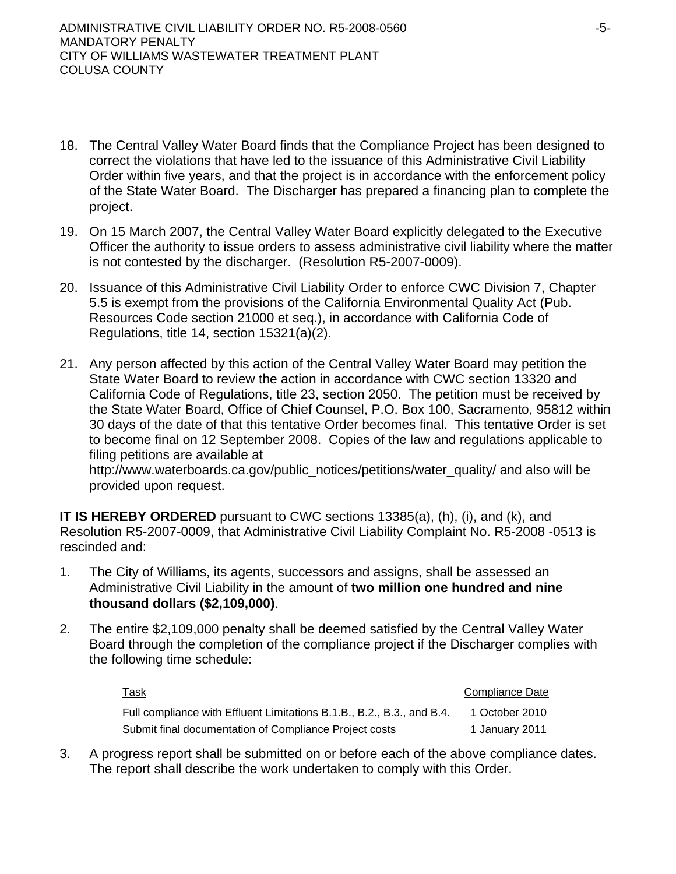- 18. The Central Valley Water Board finds that the Compliance Project has been designed to correct the violations that have led to the issuance of this Administrative Civil Liability Order within five years, and that the project is in accordance with the enforcement policy of the State Water Board. The Discharger has prepared a financing plan to complete the project.
- 19. On 15 March 2007, the Central Valley Water Board explicitly delegated to the Executive Officer the authority to issue orders to assess administrative civil liability where the matter is not contested by the discharger. (Resolution R5-2007-0009).
- 20. Issuance of this Administrative Civil Liability Order to enforce CWC Division 7, Chapter 5.5 is exempt from the provisions of the California Environmental Quality Act (Pub. Resources Code section 21000 et seq.), in accordance with California Code of Regulations, title 14, section 15321(a)(2).
- 21. Any person affected by this action of the Central Valley Water Board may petition the State Water Board to review the action in accordance with CWC section 13320 and California Code of Regulations, title 23, section 2050. The petition must be received by the State Water Board, Office of Chief Counsel, P.O. Box 100, Sacramento, 95812 within 30 days of the date of that this tentative Order becomes final. This tentative Order is set to become final on 12 September 2008. Copies of the law and regulations applicable to filing petitions are available at http://www.waterboards.ca.gov/public\_notices/petitions/water\_quality/ and also will be provided upon request.

**IT IS HEREBY ORDERED** pursuant to CWC sections 13385(a), (h), (i), and (k), and Resolution R5-2007-0009, that Administrative Civil Liability Complaint No. R5-2008 -0513 is rescinded and:

- 1. The City of Williams, its agents, successors and assigns, shall be assessed an Administrative Civil Liability in the amount of **two million one hundred and nine thousand dollars (\$2,109,000)**.
- 2. The entire \$2,109,000 penalty shall be deemed satisfied by the Central Valley Water Board through the completion of the compliance project if the Discharger complies with the following time schedule:

| <u>Task</u>                                                            | Compliance Date |
|------------------------------------------------------------------------|-----------------|
| Full compliance with Effluent Limitations B.1.B., B.2., B.3., and B.4. | 1 October 2010  |
| Submit final documentation of Compliance Project costs                 | 1 January 2011  |

3. A progress report shall be submitted on or before each of the above compliance dates. The report shall describe the work undertaken to comply with this Order.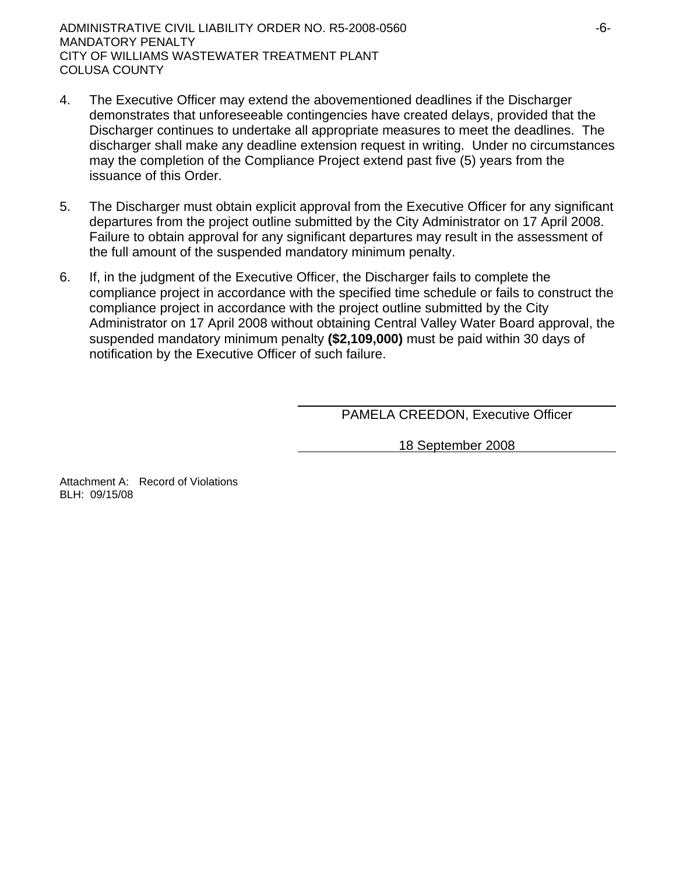- 4. The Executive Officer may extend the abovementioned deadlines if the Discharger demonstrates that unforeseeable contingencies have created delays, provided that the Discharger continues to undertake all appropriate measures to meet the deadlines. The discharger shall make any deadline extension request in writing. Under no circumstances may the completion of the Compliance Project extend past five (5) years from the issuance of this Order.
- 5. The Discharger must obtain explicit approval from the Executive Officer for any significant departures from the project outline submitted by the City Administrator on 17 April 2008. Failure to obtain approval for any significant departures may result in the assessment of the full amount of the suspended mandatory minimum penalty.
- 6. If, in the judgment of the Executive Officer, the Discharger fails to complete the compliance project in accordance with the specified time schedule or fails to construct the compliance project in accordance with the project outline submitted by the City Administrator on 17 April 2008 without obtaining Central Valley Water Board approval, the suspended mandatory minimum penalty **(\$2,109,000)** must be paid within 30 days of notification by the Executive Officer of such failure.

PAMELA CREEDON, Executive Officer

18 September 2008

Attachment A: Record of Violations BLH: 09/15/08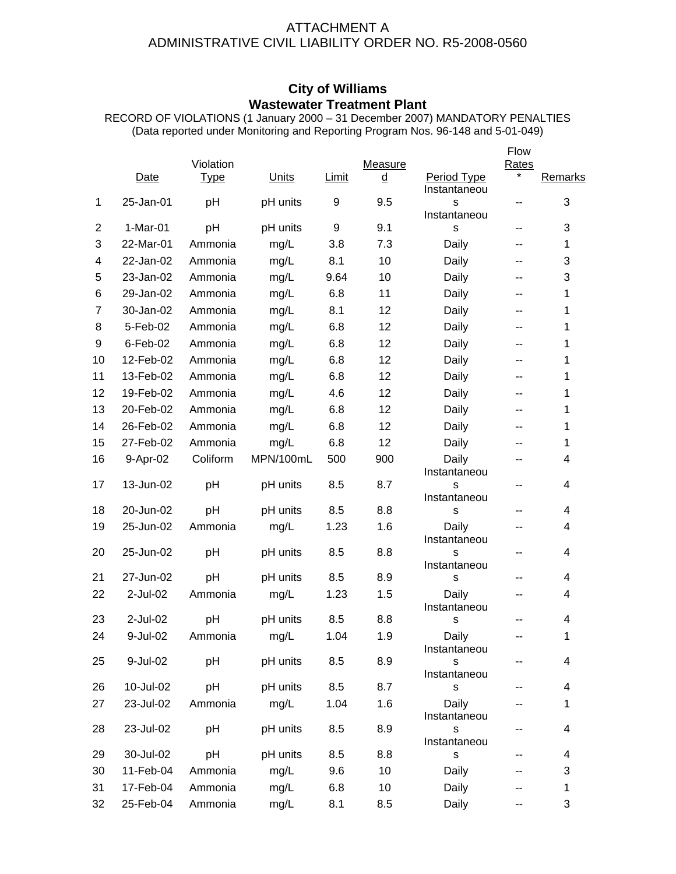## ATTACHMENT A ADMINISTRATIVE CIVIL LIABILITY ORDER NO. R5-2008-0560

# **City of Williams Wastewater Treatment Plant**

RECORD OF VIOLATIONS (1 January 2000 – 31 December 2007) MANDATORY PENALTIES (Data reported under Monitoring and Reporting Program Nos. 96-148 and 5-01-049)

|                |             |             |           |                  |          |                             | Flow  |                         |
|----------------|-------------|-------------|-----------|------------------|----------|-----------------------------|-------|-------------------------|
|                |             | Violation   |           |                  | Measure  |                             | Rates |                         |
|                | Date        | <b>Type</b> | Units     | <b>Limit</b>     | <u>d</u> | Period Type<br>Instantaneou |       | Remarks                 |
| 1              | 25-Jan-01   | pH          | pH units  | $\boldsymbol{9}$ | 9.5      | S                           | --    | 3                       |
|                |             |             |           |                  |          | Instantaneou                |       |                         |
| $\overline{2}$ | 1-Mar-01    | pH          | pH units  | 9                | 9.1      | S                           | --    | 3                       |
| 3              | 22-Mar-01   | Ammonia     | mg/L      | 3.8              | 7.3      | Daily                       | --    | 1                       |
| 4              | 22-Jan-02   | Ammonia     | mg/L      | 8.1              | 10       | Daily                       | --    | 3                       |
| 5              | 23-Jan-02   | Ammonia     | mg/L      | 9.64             | 10       | Daily                       | --    | 3                       |
| 6              | 29-Jan-02   | Ammonia     | mg/L      | 6.8              | 11       | Daily                       | --    | 1                       |
| $\overline{7}$ | 30-Jan-02   | Ammonia     | mg/L      | 8.1              | 12       | Daily                       | --    | 1                       |
| 8              | 5-Feb-02    | Ammonia     | mg/L      | 6.8              | 12       | Daily                       | --    | 1                       |
| 9              | $6$ -Feb-02 | Ammonia     | mg/L      | 6.8              | 12       | Daily                       | --    | 1                       |
| 10             | 12-Feb-02   | Ammonia     | mg/L      | 6.8              | 12       | Daily                       | --    | 1                       |
| 11             | 13-Feb-02   | Ammonia     | mg/L      | 6.8              | 12       | Daily                       | --    | 1                       |
| 12             | 19-Feb-02   | Ammonia     | mg/L      | 4.6              | 12       | Daily                       | --    | 1                       |
| 13             | 20-Feb-02   | Ammonia     | mg/L      | 6.8              | 12       | Daily                       | --    | 1                       |
| 14             | 26-Feb-02   | Ammonia     | mg/L      | 6.8              | 12       | Daily                       | --    | 1                       |
| 15             | 27-Feb-02   | Ammonia     | mg/L      | 6.8              | 12       | Daily                       | --    | 1                       |
| 16             | 9-Apr-02    | Coliform    | MPN/100mL | 500              | 900      | Daily                       | --    | 4                       |
|                |             |             |           |                  |          | Instantaneou                |       |                         |
| 17             | 13-Jun-02   | pH          | pH units  | 8.5              | 8.7      | S<br>Instantaneou           | --    | 4                       |
| 18             | 20-Jun-02   | pH          | pH units  | 8.5              | 8.8      | S                           | --    | $\overline{4}$          |
| 19             | 25-Jun-02   | Ammonia     | mg/L      | 1.23             | 1.6      | Daily                       | --    | 4                       |
|                |             |             |           |                  |          | Instantaneou                |       |                         |
| 20             | 25-Jun-02   | pH          | pH units  | 8.5              | 8.8      | S                           | --    | 4                       |
| 21             | 27-Jun-02   | pH          | pH units  | 8.5              | 8.9      | Instantaneou<br>S           | --    | 4                       |
| 22             | 2-Jul-02    | Ammonia     | mg/L      | 1.23             | 1.5      | Daily                       | --    | 4                       |
|                |             |             |           |                  |          | Instantaneou                |       |                         |
| 23             | 2-Jul-02    | pH          | pH units  | 8.5              | 8.8      | S                           | --    | $\overline{\mathbf{4}}$ |
| 24             | 9-Jul-02    | Ammonia     | mg/L      | 1.04             | 1.9      | Daily                       | --    | 1                       |
|                |             |             |           |                  |          | Instantaneou                |       |                         |
| 25             | 9-Jul-02    | pH          | pH units  | 8.5              | 8.9      | S<br>Instantaneou           |       | 4                       |
| 26             | 10-Jul-02   | pH          | pH units  | 8.5              | 8.7      | $\mathbb S$                 |       | $\overline{\mathbf{4}}$ |
| 27             | 23-Jul-02   | Ammonia     | mg/L      | 1.04             | 1.6      | Daily                       |       | 1                       |
|                |             |             |           |                  |          | Instantaneou                |       |                         |
| 28             | 23-Jul-02   | pH          | pH units  | 8.5              | 8.9      | S                           |       | 4                       |
| 29             | 30-Jul-02   | pH          | pH units  | 8.5              | 8.8      | Instantaneou<br>s           |       | 4                       |
| 30             | 11-Feb-04   | Ammonia     | mg/L      | 9.6              | 10       | Daily                       |       | 3                       |
| 31             | 17-Feb-04   | Ammonia     | mg/L      | 6.8              | 10       | Daily                       |       | $\mathbf 1$             |
| 32             | 25-Feb-04   | Ammonia     | mg/L      | 8.1              | 8.5      | Daily                       | ۰.    | 3                       |
|                |             |             |           |                  |          |                             |       |                         |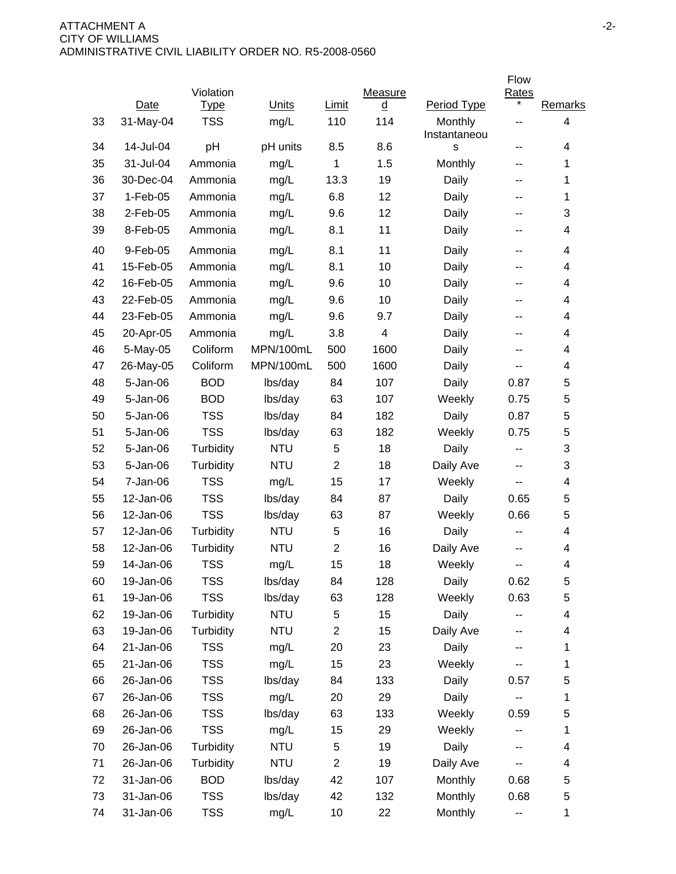|    |            |             |            |                |                |                         | Flow                    |         |
|----|------------|-------------|------------|----------------|----------------|-------------------------|-------------------------|---------|
|    |            | Violation   |            |                | Measure        |                         | <b>Rates</b><br>$\star$ |         |
|    | Date       | <b>Type</b> | Units      | Limit          | $\overline{q}$ | Period Type             |                         | Remarks |
| 33 | 31-May-04  | <b>TSS</b>  | mg/L       | 110            | 114            | Monthly<br>Instantaneou | --                      | 4       |
| 34 | 14-Jul-04  | pH          | pH units   | 8.5            | 8.6            | S                       | --                      | 4       |
| 35 | 31-Jul-04  | Ammonia     | mg/L       | 1              | 1.5            | Monthly                 | --                      | 1       |
| 36 | 30-Dec-04  | Ammonia     | mg/L       | 13.3           | 19             | Daily                   | --                      | 1       |
| 37 | $1-Feb-05$ | Ammonia     | mg/L       | 6.8            | 12             | Daily                   | --                      | 1       |
| 38 | 2-Feb-05   | Ammonia     | mg/L       | 9.6            | 12             | Daily                   | --                      | 3       |
| 39 | 8-Feb-05   | Ammonia     | mg/L       | 8.1            | 11             | Daily                   | --                      | 4       |
| 40 | 9-Feb-05   | Ammonia     | mg/L       | 8.1            | 11             | Daily                   | $-$                     | 4       |
| 41 | 15-Feb-05  | Ammonia     | mg/L       | 8.1            | 10             | Daily                   | --                      | 4       |
| 42 | 16-Feb-05  | Ammonia     | mg/L       | 9.6            | 10             | Daily                   | --                      | 4       |
| 43 | 22-Feb-05  | Ammonia     | mg/L       | 9.6            | 10             | Daily                   | --                      | 4       |
| 44 | 23-Feb-05  | Ammonia     | mg/L       | 9.6            | 9.7            | Daily                   | ۰.                      | 4       |
| 45 | 20-Apr-05  | Ammonia     | mg/L       | 3.8            | 4              | Daily                   | --                      | 4       |
| 46 | 5-May-05   | Coliform    | MPN/100mL  | 500            | 1600           | Daily                   | --                      | 4       |
| 47 | 26-May-05  | Coliform    | MPN/100mL  | 500            | 1600           | Daily                   | --                      | 4       |
| 48 | 5-Jan-06   | <b>BOD</b>  | lbs/day    | 84             | 107            | Daily                   | 0.87                    | 5       |
| 49 | 5-Jan-06   | <b>BOD</b>  | lbs/day    | 63             | 107            | Weekly                  | 0.75                    | 5       |
| 50 | 5-Jan-06   | <b>TSS</b>  | lbs/day    | 84             | 182            | Daily                   | 0.87                    | 5       |
| 51 | 5-Jan-06   | <b>TSS</b>  | lbs/day    | 63             | 182            | Weekly                  | 0.75                    | 5       |
| 52 | 5-Jan-06   | Turbidity   | <b>NTU</b> | 5              | 18             | Daily                   | --                      | 3       |
| 53 | 5-Jan-06   | Turbidity   | <b>NTU</b> | $\overline{2}$ | 18             | Daily Ave               | --                      | 3       |
| 54 | 7-Jan-06   | <b>TSS</b>  | mg/L       | 15             | 17             | Weekly                  | --                      | 4       |
| 55 | 12-Jan-06  | <b>TSS</b>  | lbs/day    | 84             | 87             | Daily                   | 0.65                    | 5       |
| 56 | 12-Jan-06  | <b>TSS</b>  | lbs/day    | 63             | 87             | Weekly                  | 0.66                    | 5       |
| 57 | 12-Jan-06  | Turbidity   | <b>NTU</b> | 5              | 16             | Daily                   | --                      | 4       |
| 58 | 12-Jan-06  | Turbidity   | <b>NTU</b> | $\overline{2}$ | 16             | Daily Ave               | --                      | 4       |
| 59 | 14-Jan-06  | <b>TSS</b>  | mg/L       | 15             | 18             | Weekly                  | --                      | 4       |
| 60 | 19-Jan-06  | <b>TSS</b>  | lbs/day    | 84             | 128            | Daily                   | 0.62                    | 5       |
| 61 | 19-Jan-06  | <b>TSS</b>  | lbs/day    | 63             | 128            | Weekly                  | 0.63                    | 5       |
| 62 | 19-Jan-06  | Turbidity   | <b>NTU</b> | 5              | 15             | Daily                   |                         | 4       |
| 63 | 19-Jan-06  | Turbidity   | <b>NTU</b> | $\overline{2}$ | 15             | Daily Ave               |                         | 4       |
| 64 | 21-Jan-06  | <b>TSS</b>  | mg/L       | 20             | 23             | Daily                   |                         | 1       |
| 65 | 21-Jan-06  | <b>TSS</b>  | mg/L       | 15             | 23             | Weekly                  |                         | 1       |
| 66 | 26-Jan-06  | <b>TSS</b>  | lbs/day    | 84             | 133            | Daily                   | 0.57                    | 5       |
| 67 | 26-Jan-06  | <b>TSS</b>  | mg/L       | 20             | 29             | Daily                   |                         | 1       |
| 68 | 26-Jan-06  | <b>TSS</b>  | lbs/day    | 63             | 133            | Weekly                  | 0.59                    | 5       |
| 69 | 26-Jan-06  | <b>TSS</b>  | mg/L       | 15             | 29             | Weekly                  |                         | 1       |
| 70 | 26-Jan-06  | Turbidity   | <b>NTU</b> | 5              | 19             | Daily                   | --                      | 4       |
| 71 | 26-Jan-06  | Turbidity   | <b>NTU</b> | $\overline{2}$ | 19             | Daily Ave               |                         | 4       |
| 72 | 31-Jan-06  | <b>BOD</b>  | lbs/day    | 42             | 107            | Monthly                 | 0.68                    | 5       |
| 73 | 31-Jan-06  | <b>TSS</b>  | lbs/day    | 42             | 132            | Monthly                 | 0.68                    | 5       |
| 74 | 31-Jan-06  | <b>TSS</b>  | mg/L       | 10             | 22             | Monthly                 | ۰.                      | 1       |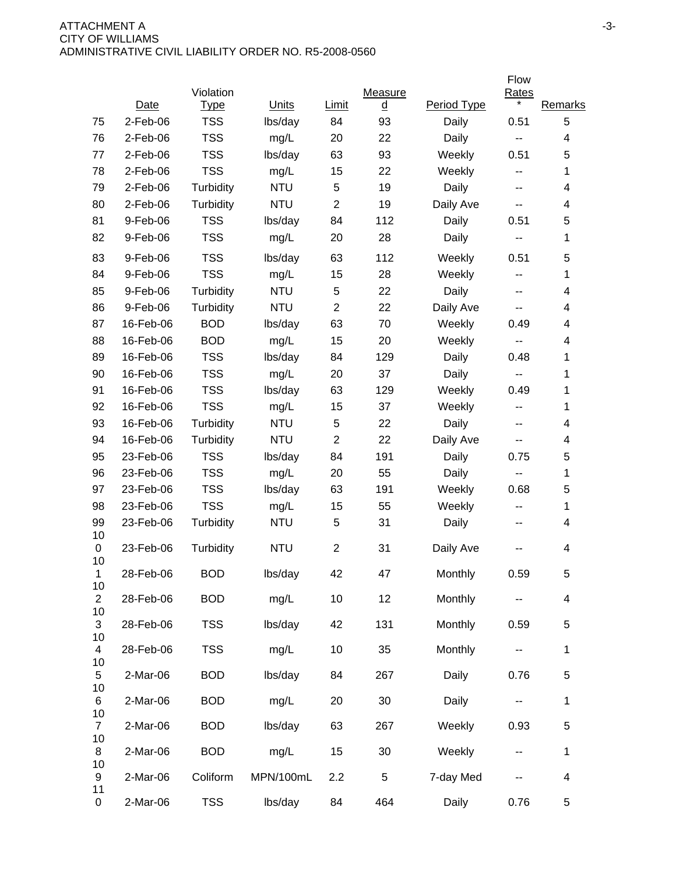|                      |           |                          |            |                |                |             | Flow                       |                          |
|----------------------|-----------|--------------------------|------------|----------------|----------------|-------------|----------------------------|--------------------------|
|                      | Date      | Violation<br><u>Type</u> | Units      | <b>Limit</b>   | Measure        | Period Type | <b>Rates</b><br>$^{\star}$ | Remarks                  |
| 75                   | 2-Feb-06  | <b>TSS</b>               | lbs/day    | 84             | <u>d</u><br>93 | Daily       | 0.51                       | 5                        |
| 76                   | 2-Feb-06  | <b>TSS</b>               | mg/L       | 20             | 22             | Daily       | ۰.                         | 4                        |
| 77                   | 2-Feb-06  | <b>TSS</b>               | lbs/day    | 63             | 93             | Weekly      | 0.51                       | 5                        |
| 78                   | 2-Feb-06  | <b>TSS</b>               | mg/L       | 15             | 22             | Weekly      | --                         | 1                        |
| 79                   | 2-Feb-06  | Turbidity                | <b>NTU</b> | 5              | 19             | Daily       | --                         | 4                        |
| 80                   | 2-Feb-06  | Turbidity                | <b>NTU</b> | 2              | 19             | Daily Ave   | н.                         | 4                        |
| 81                   | 9-Feb-06  | <b>TSS</b>               | lbs/day    | 84             | 112            | Daily       | 0.51                       | 5                        |
| 82                   | 9-Feb-06  | <b>TSS</b>               | mg/L       | 20             | 28             | Daily       | ۰.                         | 1                        |
| 83                   | 9-Feb-06  | <b>TSS</b>               | lbs/day    | 63             | 112            | Weekly      | 0.51                       | 5                        |
| 84                   | 9-Feb-06  | <b>TSS</b>               | mg/L       | 15             | 28             | Weekly      | н.                         | 1                        |
| 85                   | 9-Feb-06  | Turbidity                | <b>NTU</b> | 5              | 22             | Daily       | $\sim$ $\sim$              | 4                        |
| 86                   | 9-Feb-06  | Turbidity                | <b>NTU</b> | $\mathbf{2}$   | 22             | Daily Ave   | н.                         | 4                        |
| 87                   | 16-Feb-06 | <b>BOD</b>               | lbs/day    | 63             | 70             | Weekly      | 0.49                       | 4                        |
| 88                   | 16-Feb-06 | <b>BOD</b>               | mg/L       | 15             | 20             | Weekly      | $\overline{\phantom{a}}$   | 4                        |
| 89                   | 16-Feb-06 | <b>TSS</b>               | lbs/day    | 84             | 129            | Daily       | 0.48                       | 1                        |
| 90                   | 16-Feb-06 | <b>TSS</b>               | mg/L       | 20             | 37             | Daily       | $\overline{\phantom{m}}$   | 1                        |
| 91                   | 16-Feb-06 | <b>TSS</b>               | lbs/day    | 63             | 129            | Weekly      | 0.49                       | 1                        |
| 92                   | 16-Feb-06 | <b>TSS</b>               | mg/L       | 15             | 37             | Weekly      | $\overline{\phantom{a}}$   | 1                        |
| 93                   | 16-Feb-06 | Turbidity                | <b>NTU</b> | 5              | 22             | Daily       | $\overline{\phantom{a}}$   | 4                        |
| 94                   | 16-Feb-06 | Turbidity                | <b>NTU</b> | $\mathbf{2}$   | 22             | Daily Ave   | н.                         | 4                        |
| 95                   | 23-Feb-06 | <b>TSS</b>               | lbs/day    | 84             | 191            | Daily       | 0.75                       | 5                        |
| 96                   | 23-Feb-06 | <b>TSS</b>               | mg/L       | 20             | 55             | Daily       | $\overline{\phantom{a}}$   | 1                        |
| 97                   | 23-Feb-06 | <b>TSS</b>               | lbs/day    | 63             | 191            | Weekly      | 0.68                       | 5                        |
| 98                   | 23-Feb-06 | <b>TSS</b>               | mg/L       | 15             | 55             | Weekly      | $\overline{\phantom{a}}$   | 1                        |
| 99<br>10             | 23-Feb-06 | Turbidity                | <b>NTU</b> | 5              | 31             | Daily       | $\overline{\phantom{a}}$   | 4                        |
| 0<br>10              | 23-Feb-06 | Turbidity                | <b>NTU</b> | $\overline{c}$ | 31             | Daily Ave   |                            | 4                        |
| 1                    | 28-Feb-06 | <b>BOD</b>               | lbs/day    | 42             | 47             | Monthly     | 0.59                       | 5                        |
| 10<br>$\overline{2}$ | 28-Feb-06 | <b>BOD</b>               | mg/L       | 10             | 12             | Monthly     |                            | $\overline{\mathcal{A}}$ |
| 10<br>3<br>10        | 28-Feb-06 | <b>TSS</b>               | lbs/day    | 42             | 131            | Monthly     | 0.59                       | 5                        |
| 4<br>10              | 28-Feb-06 | <b>TSS</b>               | mg/L       | 10             | 35             | Monthly     |                            | $\mathbf{1}$             |
| 5<br>10              | 2-Mar-06  | <b>BOD</b>               | lbs/day    | 84             | 267            | Daily       | 0.76                       | 5                        |
| 6<br>10              | 2-Mar-06  | <b>BOD</b>               | mg/L       | 20             | 30             | Daily       | --                         | $\mathbf{1}$             |
| $\overline{7}$<br>10 | 2-Mar-06  | <b>BOD</b>               | lbs/day    | 63             | 267            | Weekly      | 0.93                       | 5                        |
| 8<br>10              | 2-Mar-06  | <b>BOD</b>               | mg/L       | 15             | 30             | Weekly      | --                         | 1                        |
| 9<br>11              | 2-Mar-06  | Coliform                 | MPN/100mL  | 2.2            | $\,$ 5 $\,$    | 7-day Med   |                            | 4                        |
| 0                    | 2-Mar-06  | <b>TSS</b>               | lbs/day    | 84             | 464            | Daily       | 0.76                       | $\mathbf 5$              |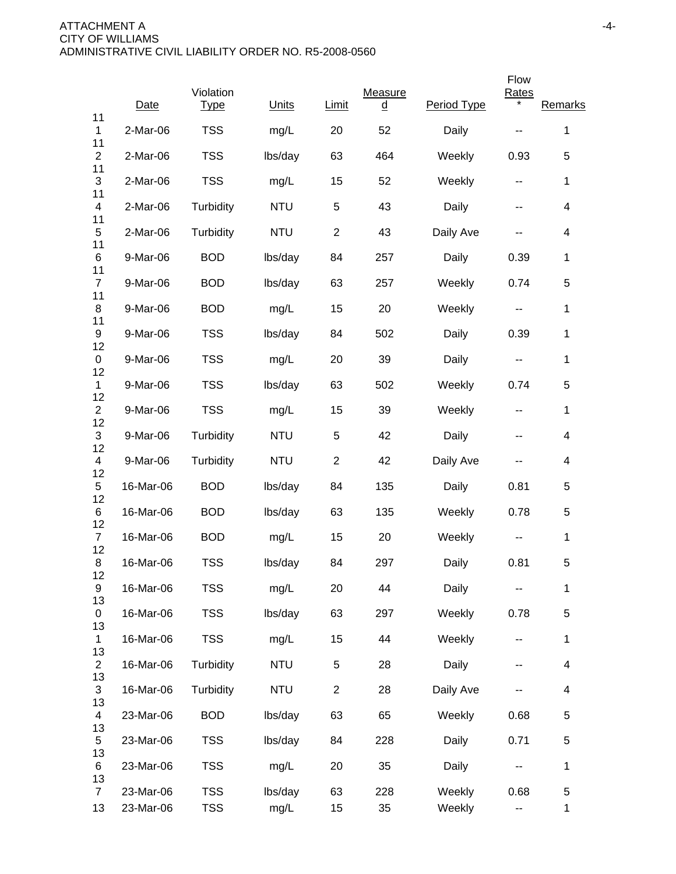|                            |           |                          |            |                |                     |             | Flow                     |                          |
|----------------------------|-----------|--------------------------|------------|----------------|---------------------|-------------|--------------------------|--------------------------|
| 11                         | Date      | Violation<br><b>Type</b> | Units      | Limit          | Measure<br><u>d</u> | Period Type | <b>Rates</b>             | Remarks                  |
| 1                          | 2-Mar-06  | <b>TSS</b>               | mg/L       | 20             | 52                  | Daily       |                          | $\mathbf 1$              |
| 11<br>$\overline{c}$<br>11 | 2-Mar-06  | <b>TSS</b>               | lbs/day    | 63             | 464                 | Weekly      | 0.93                     | 5                        |
| 3<br>11                    | 2-Mar-06  | <b>TSS</b>               | mg/L       | 15             | 52                  | Weekly      | $\overline{\phantom{m}}$ | $\mathbf 1$              |
| 4<br>11                    | 2-Mar-06  | Turbidity                | <b>NTU</b> | 5              | 43                  | Daily       | --                       | $\overline{\mathcal{A}}$ |
| 5<br>11                    | 2-Mar-06  | Turbidity                | <b>NTU</b> | $\mathbf{2}$   | 43                  | Daily Ave   | --                       | 4                        |
| 6                          | 9-Mar-06  | <b>BOD</b>               | lbs/day    | 84             | 257                 | Daily       | 0.39                     | $\mathbf 1$              |
| 11<br>$\overline{7}$       | 9-Mar-06  | <b>BOD</b>               | lbs/day    | 63             | 257                 | Weekly      | 0.74                     | 5                        |
| 11<br>8                    | 9-Mar-06  | <b>BOD</b>               | mg/L       | 15             | 20                  | Weekly      | $\sim$ $\sim$            | 1                        |
| 11<br>9                    | 9-Mar-06  | <b>TSS</b>               | lbs/day    | 84             | 502                 | Daily       | 0.39                     | 1                        |
| 12<br>0                    | 9-Mar-06  | <b>TSS</b>               | mg/L       | 20             | 39                  | Daily       | $\overline{\phantom{a}}$ | $\mathbf{1}$             |
| 12<br>$\mathbf{1}$         | 9-Mar-06  | <b>TSS</b>               | lbs/day    | 63             | 502                 | Weekly      | 0.74                     | 5                        |
| 12<br>$\overline{2}$       | 9-Mar-06  | <b>TSS</b>               | mg/L       | 15             | 39                  | Weekly      | $\overline{\phantom{a}}$ | $\mathbf 1$              |
| 12<br>3                    | 9-Mar-06  | Turbidity                | <b>NTU</b> | 5              | 42                  | Daily       | $\overline{\phantom{a}}$ | 4                        |
| 12<br>4                    | 9-Mar-06  | Turbidity                | <b>NTU</b> | $\overline{2}$ | 42                  | Daily Ave   |                          | 4                        |
| 12<br>5                    | 16-Mar-06 | <b>BOD</b>               | lbs/day    | 84             | 135                 | Daily       | 0.81                     | 5                        |
| 12<br>6                    | 16-Mar-06 | <b>BOD</b>               | lbs/day    | 63             | 135                 | Weekly      | 0.78                     | 5                        |
| 12<br>$\overline{7}$       | 16-Mar-06 | <b>BOD</b>               | mg/L       | 15             | 20                  | Weekly      |                          | 1                        |
| 12<br>8                    | 16-Mar-06 | <b>TSS</b>               | lbs/day    | 84             | 297                 | Daily       | 0.81                     | 5                        |
| 12<br>9                    | 16-Mar-06 | <b>TSS</b>               | mg/L       | 20             | 44                  | Daily       |                          | $\mathbf 1$              |
| 13<br>0                    | 16-Mar-06 | <b>TSS</b>               | lbs/day    | 63             | 297                 | Weekly      | 0.78                     | 5                        |
| 13<br>1                    | 16-Mar-06 | <b>TSS</b>               | mg/L       | 15             | 44                  | Weekly      | ۰.                       | $\mathbf 1$              |
| 13<br>$\overline{2}$       | 16-Mar-06 | Turbidity                | <b>NTU</b> | 5              | 28                  | Daily       | --                       | $\overline{\mathbf{4}}$  |
| 13<br>$\mathfrak{S}$       | 16-Mar-06 | Turbidity                | <b>NTU</b> | $\overline{c}$ | 28                  | Daily Ave   |                          | $\overline{\mathcal{A}}$ |
| 13<br>4                    | 23-Mar-06 | <b>BOD</b>               | lbs/day    | 63             | 65                  | Weekly      | 0.68                     | 5                        |
| 13<br>5                    | 23-Mar-06 | <b>TSS</b>               | lbs/day    | 84             | 228                 | Daily       | 0.71                     | 5                        |
| 13<br>6                    | 23-Mar-06 | <b>TSS</b>               | mg/L       | 20             | 35                  | Daily       |                          | $\mathbf 1$              |
| 13<br>$\overline{7}$       | 23-Mar-06 | <b>TSS</b>               | lbs/day    | 63             | 228                 | Weekly      | 0.68                     | 5                        |
| 13                         | 23-Mar-06 | <b>TSS</b>               | mg/L       | 15             | 35                  | Weekly      |                          | 1                        |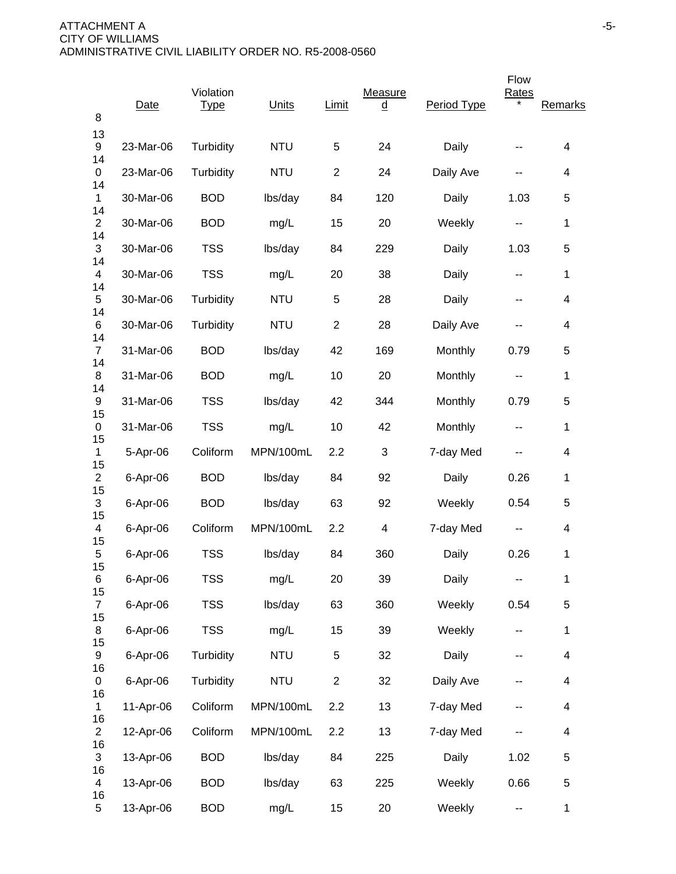| 8                          | Date      | Violation<br><b>Type</b> | Units      | Limit          | Measure<br><u>d</u> | Period Type | Flow<br><b>Rates</b> | Remarks                  |
|----------------------------|-----------|--------------------------|------------|----------------|---------------------|-------------|----------------------|--------------------------|
| 13<br>9                    | 23-Mar-06 | Turbidity                | <b>NTU</b> | 5              | 24                  | Daily       |                      | 4                        |
| 14<br>0                    | 23-Mar-06 | Turbidity                | <b>NTU</b> | $\overline{2}$ | 24                  | Daily Ave   | --                   | 4                        |
| 14<br>1                    | 30-Mar-06 | <b>BOD</b>               | lbs/day    | 84             | 120                 | Daily       | 1.03                 | 5                        |
| 14<br>$\overline{2}$       | 30-Mar-06 | <b>BOD</b>               | mg/L       | 15             | 20                  | Weekly      | ۰.                   | 1                        |
| 14<br>3                    | 30-Mar-06 | <b>TSS</b>               | lbs/day    | 84             | 229                 | Daily       | 1.03                 | 5                        |
| 14<br>4                    | 30-Mar-06 | <b>TSS</b>               | mg/L       | 20             | 38                  | Daily       | --                   | 1                        |
| 14<br>5                    | 30-Mar-06 | Turbidity                | <b>NTU</b> | $\,$ 5 $\,$    | 28                  | Daily       | --                   | 4                        |
| 14<br>6                    | 30-Mar-06 | Turbidity                | <b>NTU</b> | $\overline{2}$ | 28                  | Daily Ave   |                      | 4                        |
| 14<br>$\overline{7}$       | 31-Mar-06 | <b>BOD</b>               | lbs/day    | 42             | 169                 | Monthly     | 0.79                 | 5                        |
| 14<br>8                    | 31-Mar-06 | <b>BOD</b>               | mg/L       | 10             | 20                  | Monthly     | ۰.                   | 1                        |
| 14<br>9                    | 31-Mar-06 | <b>TSS</b>               | lbs/day    | 42             | 344                 | Monthly     | 0.79                 | 5                        |
| 15<br>0                    | 31-Mar-06 | <b>TSS</b>               | mg/L       | 10             | 42                  | Monthly     | --                   | 1                        |
| 15<br>1                    | 5-Apr-06  | Coliform                 | MPN/100mL  | 2.2            | 3                   | 7-day Med   |                      | 4                        |
| 15<br>$\overline{2}$       | 6-Apr-06  | <b>BOD</b>               | lbs/day    | 84             | 92                  | Daily       | 0.26                 | 1                        |
| 15<br>3                    | 6-Apr-06  | <b>BOD</b>               | lbs/day    | 63             | 92                  | Weekly      | 0.54                 | 5                        |
| 15<br>4                    | 6-Apr-06  | Coliform                 | MPN/100mL  | 2.2            | 4                   | 7-day Med   | ۰.                   | 4                        |
| 15<br>5                    | 6-Apr-06  | <b>TSS</b>               | lbs/day    | 84             | 360                 | Daily       | 0.26                 | 1                        |
| 15<br>6                    | 6-Apr-06  | <b>TSS</b>               | mg/L       | 20             | 39                  | Daily       | --                   | $\mathbf 1$              |
| 15<br>$\overline{7}$<br>15 | 6-Apr-06  | <b>TSS</b>               | lbs/day    | 63             | 360                 | Weekly      | 0.54                 | 5                        |
| 8<br>15                    | 6-Apr-06  | <b>TSS</b>               | mg/L       | 15             | 39                  | Weekly      | ۰.                   | $\mathbf 1$              |
| 9<br>16                    | 6-Apr-06  | Turbidity                | <b>NTU</b> | $\sqrt{5}$     | 32                  | Daily       | --                   | $\overline{\mathcal{A}}$ |
| 0<br>16                    | 6-Apr-06  | Turbidity                | <b>NTU</b> | $\overline{2}$ | 32                  | Daily Ave   |                      | 4                        |
| 1<br>16                    | 11-Apr-06 | Coliform                 | MPN/100mL  | 2.2            | 13                  | 7-day Med   |                      | $\overline{4}$           |
| $\overline{2}$<br>16       | 12-Apr-06 | Coliform                 | MPN/100mL  | 2.2            | 13                  | 7-day Med   |                      | $\overline{\mathcal{A}}$ |
| 3<br>16                    | 13-Apr-06 | <b>BOD</b>               | lbs/day    | 84             | 225                 | Daily       | 1.02                 | 5                        |
| 4                          | 13-Apr-06 | <b>BOD</b>               | lbs/day    | 63             | 225                 | Weekly      | 0.66                 | 5                        |
| 16<br>5                    | 13-Apr-06 | <b>BOD</b>               | mg/L       | 15             | 20                  | Weekly      | ۰.                   | $\mathbf{1}$             |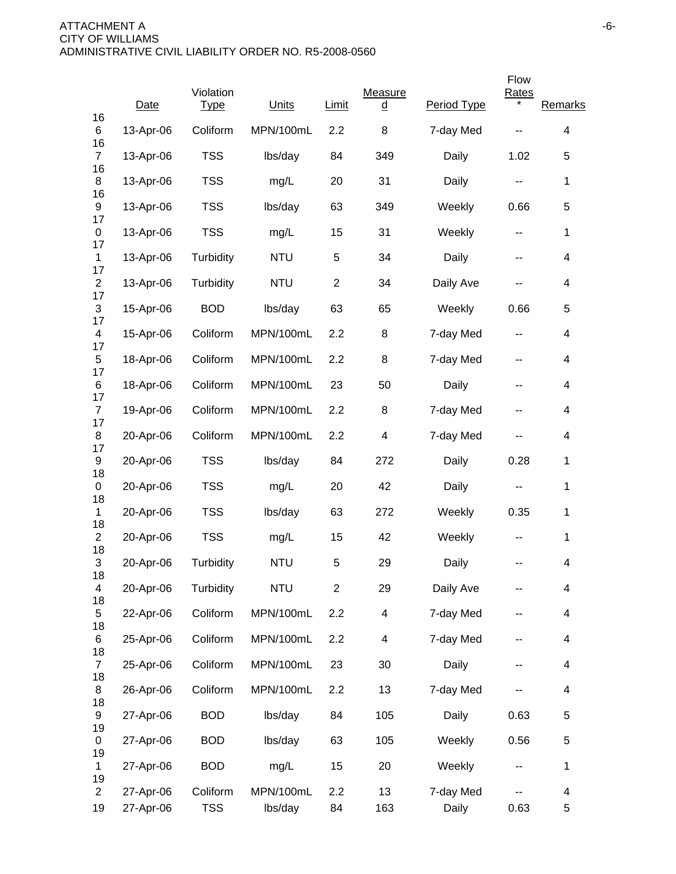|                            |                        |                          |                      |                |                     |                    | Flow                     |                               |
|----------------------------|------------------------|--------------------------|----------------------|----------------|---------------------|--------------------|--------------------------|-------------------------------|
| 16                         | Date                   | Violation<br><b>Type</b> | Units                | Limit          | Measure<br><u>d</u> | Period Type        | <b>Rates</b>             | Remarks                       |
| 6<br>16                    | 13-Apr-06              | Coliform                 | MPN/100mL            | 2.2            | 8                   | 7-day Med          |                          | 4                             |
| $\overline{7}$             | 13-Apr-06              | <b>TSS</b>               | lbs/day              | 84             | 349                 | Daily              | 1.02                     | 5                             |
| 16<br>8<br>16              | 13-Apr-06              | <b>TSS</b>               | mg/L                 | 20             | 31                  | Daily              | $\sim$ $\sim$            | $\mathbf 1$                   |
| 9<br>17                    | 13-Apr-06              | <b>TSS</b>               | lbs/day              | 63             | 349                 | Weekly             | 0.66                     | 5                             |
| 0<br>17                    | 13-Apr-06              | <b>TSS</b>               | mg/L                 | 15             | 31                  | Weekly             | $\sim$ $\sim$            | 1                             |
| $\mathbf{1}$               | 13-Apr-06              | Turbidity                | <b>NTU</b>           | 5              | 34                  | Daily              | $\overline{\phantom{a}}$ | $\overline{\mathcal{A}}$      |
| 17<br>$\overline{2}$<br>17 | 13-Apr-06              | Turbidity                | <b>NTU</b>           | $\overline{c}$ | 34                  | Daily Ave          | --                       | 4                             |
| 3<br>17                    | 15-Apr-06              | <b>BOD</b>               | lbs/day              | 63             | 65                  | Weekly             | 0.66                     | 5                             |
| 4                          | 15-Apr-06              | Coliform                 | MPN/100mL            | 2.2            | 8                   | 7-day Med          | $\overline{\phantom{a}}$ | $\overline{\mathcal{A}}$      |
| 17<br>5<br>17              | 18-Apr-06              | Coliform                 | MPN/100mL            | 2.2            | 8                   | 7-day Med          | --                       | $\overline{\mathcal{A}}$      |
| 6<br>17                    | 18-Apr-06              | Coliform                 | MPN/100mL            | 23             | 50                  | Daily              | --                       | $\overline{\mathcal{A}}$      |
| $\overline{7}$<br>17       | 19-Apr-06              | Coliform                 | MPN/100mL            | 2.2            | 8                   | 7-day Med          | --                       | 4                             |
| 8<br>17                    | 20-Apr-06              | Coliform                 | MPN/100mL            | 2.2            | 4                   | 7-day Med          | --                       | 4                             |
| 9<br>18                    | 20-Apr-06              | <b>TSS</b>               | lbs/day              | 84             | 272                 | Daily              | 0.28                     | $\mathbf 1$                   |
| 0<br>18                    | 20-Apr-06              | <b>TSS</b>               | mg/L                 | 20             | 42                  | Daily              | $\overline{\phantom{a}}$ | $\mathbf 1$                   |
| 1<br>18                    | 20-Apr-06              | <b>TSS</b>               | lbs/day              | 63             | 272                 | Weekly             | 0.35                     | 1                             |
| $\overline{2}$<br>18       | 20-Apr-06              | <b>TSS</b>               | mg/L                 | 15             | 42                  | Weekly             |                          | 1                             |
| 3<br>18                    | 20-Apr-06              | Turbidity                | <b>NTU</b>           | 5              | 29                  | Daily              |                          | 4                             |
| 4<br>18                    | 20-Apr-06              | Turbidity                | <b>NTU</b>           | $\overline{2}$ | 29                  | Daily Ave          |                          | 4                             |
| 5<br>18                    | 22-Apr-06              | Coliform                 | MPN/100mL            | 2.2            | 4                   | 7-day Med          |                          | 4                             |
| 6<br>18                    | 25-Apr-06              | Coliform                 | MPN/100mL            | 2.2            | 4                   | 7-day Med          | --                       | $\overline{\mathcal{A}}$      |
| $\overline{7}$<br>18       | 25-Apr-06              | Coliform                 | MPN/100mL            | 23             | 30                  | Daily              | --                       | $\overline{\mathbf{4}}$       |
| 8<br>18                    | 26-Apr-06              | Coliform                 | MPN/100mL            | 2.2            | 13                  | 7-day Med          |                          | $\overline{\mathcal{A}}$      |
| 9                          | 27-Apr-06              | <b>BOD</b>               | lbs/day              | 84             | 105                 | Daily              | 0.63                     | 5                             |
| 19<br>0                    | 27-Apr-06              | <b>BOD</b>               | lbs/day              | 63             | 105                 | Weekly             | 0.56                     | 5                             |
| 19<br>1<br>19              | 27-Apr-06              | <b>BOD</b>               | mg/L                 | 15             | 20                  | Weekly             |                          | $\mathbf 1$                   |
| $\overline{2}$<br>19       | 27-Apr-06<br>27-Apr-06 | Coliform<br><b>TSS</b>   | MPN/100mL<br>lbs/day | 2.2<br>84      | 13<br>163           | 7-day Med<br>Daily | 0.63                     | $\overline{\mathcal{A}}$<br>5 |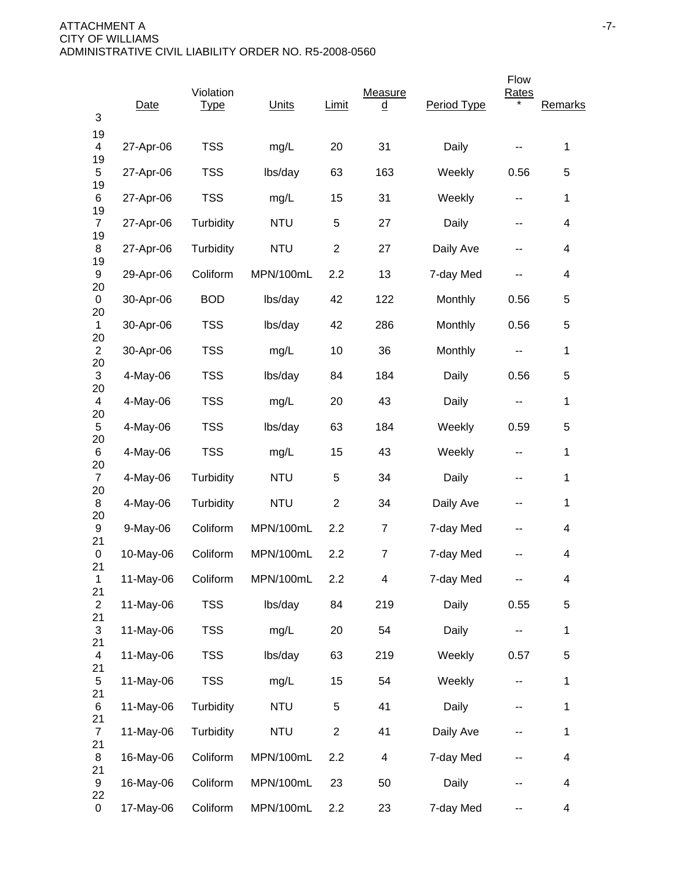| 3                              | Date      | Violation<br><b>Type</b> | Units      | Limit          | Measure<br><u>d</u> | Period Type | Flow<br>Rates            | Remarks |
|--------------------------------|-----------|--------------------------|------------|----------------|---------------------|-------------|--------------------------|---------|
| 19<br>4                        | 27-Apr-06 | <b>TSS</b>               | mg/L       | 20             | 31                  | Daily       |                          | 1       |
| 19<br>5                        | 27-Apr-06 | <b>TSS</b>               | lbs/day    | 63             | 163                 | Weekly      | 0.56                     | 5       |
| 19<br>6                        | 27-Apr-06 | <b>TSS</b>               | mg/L       | 15             | 31                  | Weekly      | $\sim$ $\sim$            | 1       |
| 19<br>$\overline{7}$           | 27-Apr-06 | Turbidity                | <b>NTU</b> | 5              | 27                  | Daily       | --                       | 4       |
| 19<br>8                        | 27-Apr-06 | Turbidity                | <b>NTU</b> | $\overline{c}$ | 27                  | Daily Ave   | --                       | 4       |
| 19<br>9                        | 29-Apr-06 | Coliform                 | MPN/100mL  | 2.2            | 13                  | 7-day Med   |                          | 4       |
| 20<br>0                        | 30-Apr-06 | <b>BOD</b>               | lbs/day    | 42             | 122                 | Monthly     | 0.56                     | 5       |
| 20<br>$\mathbf{1}$             | 30-Apr-06 | <b>TSS</b>               | lbs/day    | 42             | 286                 | Monthly     | 0.56                     | 5       |
| 20<br>$\overline{2}$           | 30-Apr-06 | <b>TSS</b>               | mg/L       | 10             | 36                  | Monthly     | --                       | 1       |
| 20<br>$\mathfrak{S}$           | 4-May-06  | <b>TSS</b>               | lbs/day    | 84             | 184                 | Daily       | 0.56                     | 5       |
| 20<br>$\overline{4}$           | 4-May-06  | <b>TSS</b>               | mg/L       | 20             | 43                  | Daily       | --                       | 1       |
| 20<br>5                        | 4-May-06  | <b>TSS</b>               | lbs/day    | 63             | 184                 | Weekly      | 0.59                     | 5       |
| 20<br>6                        | 4-May-06  | <b>TSS</b>               | mg/L       | 15             | 43                  | Weekly      | --                       | 1       |
| 20<br>$\overline{7}$<br>20     | 4-May-06  | Turbidity                | <b>NTU</b> | 5              | 34                  | Daily       | --                       | 1       |
| 8<br>20                        | 4-May-06  | Turbidity                | <b>NTU</b> | $\overline{2}$ | 34                  | Daily Ave   | --                       | 1       |
| 9<br>21                        | 9-May-06  | Coliform                 | MPN/100mL  | 2.2            | 7                   | 7-day Med   | --                       | 4       |
| 0<br>21                        | 10-May-06 | Coliform                 | MPN/100mL  | 2.2            | 7                   | 7-day Med   |                          | 4       |
| $\mathbf{1}$<br>21             | 11-May-06 | Coliform                 | MPN/100mL  | 2.2            | 4                   | 7-day Med   |                          | 4       |
| $\overline{2}$<br>21           | 11-May-06 | <b>TSS</b>               | lbs/day    | 84             | 219                 | Daily       | 0.55                     | 5       |
| 3<br>21                        | 11-May-06 | <b>TSS</b>               | mg/L       | 20             | 54                  | Daily       |                          | 1       |
| $\overline{\mathcal{A}}$<br>21 | 11-May-06 | <b>TSS</b>               | lbs/day    | 63             | 219                 | Weekly      | 0.57                     | 5       |
| 5                              | 11-May-06 | <b>TSS</b>               | mg/L       | 15             | 54                  | Weekly      | $\overline{\phantom{a}}$ | 1       |
| 21<br>6<br>21                  | 11-May-06 | Turbidity                | <b>NTU</b> | $\sqrt{5}$     | 41                  | Daily       |                          | 1       |
| $\overline{7}$<br>21           | 11-May-06 | Turbidity                | <b>NTU</b> | $\overline{c}$ | 41                  | Daily Ave   |                          | 1       |
| 8<br>21                        | 16-May-06 | Coliform                 | MPN/100mL  | 2.2            | 4                   | 7-day Med   | --                       | 4       |
| 9                              | 16-May-06 | Coliform                 | MPN/100mL  | 23             | 50                  | Daily       |                          | 4       |
| 22<br>0                        | 17-May-06 | Coliform                 | MPN/100mL  | 2.2            | 23                  | 7-day Med   | --                       | 4       |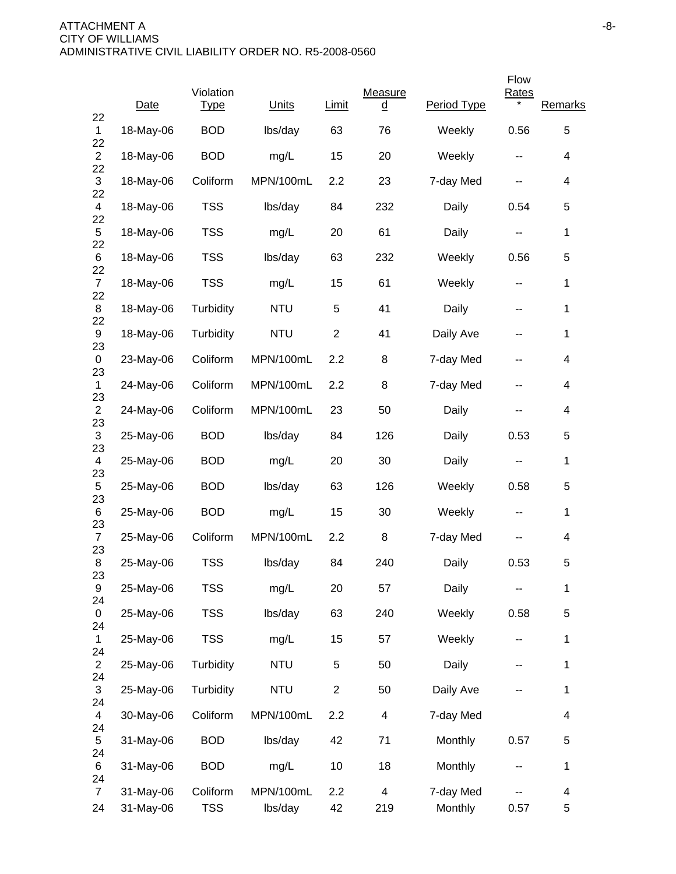|                      |           |                          |            |                |                     |             | Flow         |                |
|----------------------|-----------|--------------------------|------------|----------------|---------------------|-------------|--------------|----------------|
| 22                   | Date      | Violation<br><u>Type</u> | Units      | Limit          | Measure<br><u>d</u> | Period Type | <b>Rates</b> | <b>Remarks</b> |
| $\mathbf{1}$         | 18-May-06 | <b>BOD</b>               | lbs/day    | 63             | 76                  | Weekly      | 0.56         | 5              |
| 22<br>$\overline{2}$ | 18-May-06 | <b>BOD</b>               | mg/L       | 15             | 20                  | Weekly      | --           | 4              |
| 22<br>3              | 18-May-06 | Coliform                 | MPN/100mL  | 2.2            | 23                  | 7-day Med   |              | 4              |
| 22<br>4              | 18-May-06 | <b>TSS</b>               | lbs/day    | 84             | 232                 | Daily       | 0.54         | 5              |
| 22<br>5              | 18-May-06 | <b>TSS</b>               | mg/L       | 20             | 61                  | Daily       | --           | 1              |
| 22<br>6              | 18-May-06 | <b>TSS</b>               | lbs/day    | 63             | 232                 | Weekly      | 0.56         | 5              |
| 22<br>$\overline{7}$ | 18-May-06 | <b>TSS</b>               | mg/L       | 15             | 61                  | Weekly      | ۰.           | $\mathbf{1}$   |
| 22<br>8              | 18-May-06 | Turbidity                | <b>NTU</b> | 5              | 41                  | Daily       | --           | 1              |
| 22<br>9              | 18-May-06 | Turbidity                | <b>NTU</b> | $\overline{2}$ | 41                  | Daily Ave   | --           | 1              |
| 23<br>$\mathbf 0$    | 23-May-06 | Coliform                 | MPN/100mL  | 2.2            | 8                   | 7-day Med   | --           | 4              |
| 23<br>$\mathbf{1}$   | 24-May-06 | Coliform                 | MPN/100mL  | 2.2            | 8                   | 7-day Med   | --           | 4              |
| 23<br>$\overline{2}$ | 24-May-06 | Coliform                 | MPN/100mL  | 23             | 50                  | Daily       | --           | 4              |
| 23<br>3              | 25-May-06 | <b>BOD</b>               | lbs/day    | 84             | 126                 | Daily       | 0.53         | 5              |
| 23<br>4              | 25-May-06 | <b>BOD</b>               | mg/L       | 20             | 30                  | Daily       | --           | 1              |
| 23<br>5              | 25-May-06 | <b>BOD</b>               | lbs/day    | 63             | 126                 | Weekly      | 0.58         | 5              |
| 23<br>6              | 25-May-06 | <b>BOD</b>               | mg/L       | 15             | 30                  | Weekly      | --           | 1              |
| 23<br>$\overline{7}$ | 25-May-06 | Coliform                 | MPN/100mL  | 2.2            | 8                   | 7-day Med   |              | 4              |
| 23<br>8              | 25-May-06 | <b>TSS</b>               | lbs/day    | 84             | 240                 | Daily       | 0.53         | 5              |
| 23<br>9              | 25-May-06 | <b>TSS</b>               | mg/L       | 20             | 57                  | Daily       |              | 1              |
| 24<br>0              | 25-May-06 | <b>TSS</b>               | lbs/day    | 63             | 240                 | Weekly      | 0.58         | 5              |
| 24<br>$\mathbf{1}$   | 25-May-06 | <b>TSS</b>               | mg/L       | 15             | 57                  | Weekly      | ۰.           | 1              |
| 24<br>$\overline{2}$ | 25-May-06 | Turbidity                | <b>NTU</b> | $\,$ 5 $\,$    | 50                  | Daily       | --           | 1              |
| 24<br>$\sqrt{3}$     | 25-May-06 | Turbidity                | <b>NTU</b> | $\overline{c}$ | 50                  | Daily Ave   |              | 1              |
| 24<br>$\overline{4}$ | 30-May-06 | Coliform                 | MPN/100mL  | 2.2            | 4                   | 7-day Med   |              | 4              |
| 24<br>5              | 31-May-06 | <b>BOD</b>               | lbs/day    | 42             | 71                  | Monthly     | 0.57         | 5              |
| 24<br>6              | 31-May-06 | <b>BOD</b>               | mg/L       | 10             | 18                  | Monthly     |              | $\mathbf{1}$   |
| 24<br>$\overline{7}$ | 31-May-06 | Coliform                 | MPN/100mL  | 2.2            | $\overline{4}$      | 7-day Med   |              | 4              |
| 24                   | 31-May-06 | <b>TSS</b>               | lbs/day    | 42             | 219                 | Monthly     | 0.57         | 5              |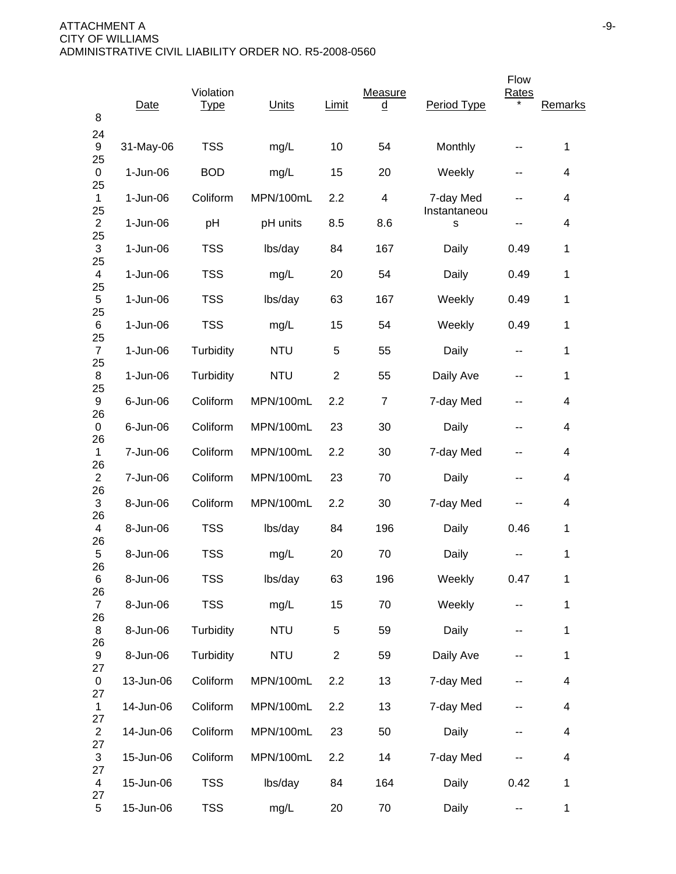| 8                      | Date       | Violation<br><b>Type</b> | Units      | Limit          | Measure<br><u>d</u>      | Period Type       | Flow<br>Rates | Remarks      |
|------------------------|------------|--------------------------|------------|----------------|--------------------------|-------------------|---------------|--------------|
| 24<br>9                | 31-May-06  | <b>TSS</b>               | mg/L       | 10             | 54                       | Monthly           |               | 1            |
| 25<br>$\pmb{0}$        | $1-Jun-06$ | <b>BOD</b>               | mg/L       | 15             | 20                       | Weekly            | --            | 4            |
| 25<br>$\mathbf{1}$     | 1-Jun-06   | Coliform                 | MPN/100mL  | 2.2            | $\overline{\mathcal{A}}$ | 7-day Med         | --            | 4            |
| 25<br>$\overline{c}$   | $1-Jun-06$ | pH                       | pH units   | 8.5            | 8.6                      | Instantaneou<br>S | --            | 4            |
| 25<br>3                | $1-Jun-06$ | <b>TSS</b>               | lbs/day    | 84             | 167                      | Daily             | 0.49          | 1            |
| 25<br>4                | $1-Jun-06$ | <b>TSS</b>               | mg/L       | 20             | 54                       | Daily             | 0.49          | 1            |
| 25<br>5                | $1-Jun-06$ | <b>TSS</b>               | lbs/day    | 63             | 167                      | Weekly            | 0.49          | 1            |
| 25<br>6                | 1-Jun-06   | <b>TSS</b>               | mg/L       | 15             | 54                       | Weekly            | 0.49          | 1            |
| 25<br>$\overline{7}$   | 1-Jun-06   | Turbidity                | <b>NTU</b> | 5              | 55                       | Daily             | --            | 1            |
| 25<br>8                | $1-Jun-06$ | Turbidity                | <b>NTU</b> | $\overline{2}$ | 55                       | Daily Ave         | --            | 1            |
| 25<br>9                | 6-Jun-06   | Coliform                 | MPN/100mL  | 2.2            | $\overline{7}$           | 7-day Med         | --            | 4            |
| 26<br>0                | 6-Jun-06   | Coliform                 | MPN/100mL  | 23             | 30                       | Daily             | --            | 4            |
| 26<br>$\mathbf{1}$     | 7-Jun-06   | Coliform                 | MPN/100mL  | 2.2            | 30                       | 7-day Med         | --            | 4            |
| 26<br>$\mathbf{2}$     | 7-Jun-06   | Coliform                 | MPN/100mL  | 23             | 70                       | Daily             | --            | 4            |
| 26<br>3                | 8-Jun-06   | Coliform                 | MPN/100mL  | 2.2            | 30                       | 7-day Med         | --            | 4            |
| 26<br>4                | 8-Jun-06   | <b>TSS</b>               | lbs/day    | 84             | 196                      | Daily             | 0.46          | 1            |
| 26<br>5                | 8-Jun-06   | <b>TSS</b>               | mg/L       | 20             | 70                       | Daily             |               | 1            |
| 26<br>6                | 8-Jun-06   | <b>TSS</b>               | lbs/day    | 63             | 196                      | Weekly            | 0.47          | 1            |
| 26<br>$\overline{7}$   | 8-Jun-06   | <b>TSS</b>               | mg/L       | 15             | 70                       | Weekly            | ۰.            | 1            |
| 26<br>8                | 8-Jun-06   | Turbidity                | <b>NTU</b> | $\sqrt{5}$     | 59                       | Daily             | --            | 1            |
| 26<br>$\boldsymbol{9}$ | 8-Jun-06   | Turbidity                | <b>NTU</b> | $\overline{2}$ | 59                       | Daily Ave         | --            | 1            |
| 27<br>0                | 13-Jun-06  | Coliform                 | MPN/100mL  | 2.2            | 13                       | 7-day Med         | --            | 4            |
| 27<br>$\mathbf{1}$     | 14-Jun-06  | Coliform                 | MPN/100mL  | 2.2            | 13                       | 7-day Med         |               | 4            |
| 27<br>$\overline{2}$   | 14-Jun-06  | Coliform                 | MPN/100mL  | 23             | 50                       | Daily             | --            | 4            |
| 27<br>3                | 15-Jun-06  | Coliform                 | MPN/100mL  | 2.2            | 14                       | 7-day Med         |               | 4            |
| 27<br>$\overline{4}$   | 15-Jun-06  | <b>TSS</b>               | lbs/day    | 84             | 164                      | Daily             | 0.42          | 1            |
| 27<br>5                | 15-Jun-06  | <b>TSS</b>               | mg/L       | 20             | 70                       | Daily             | --            | $\mathbf{1}$ |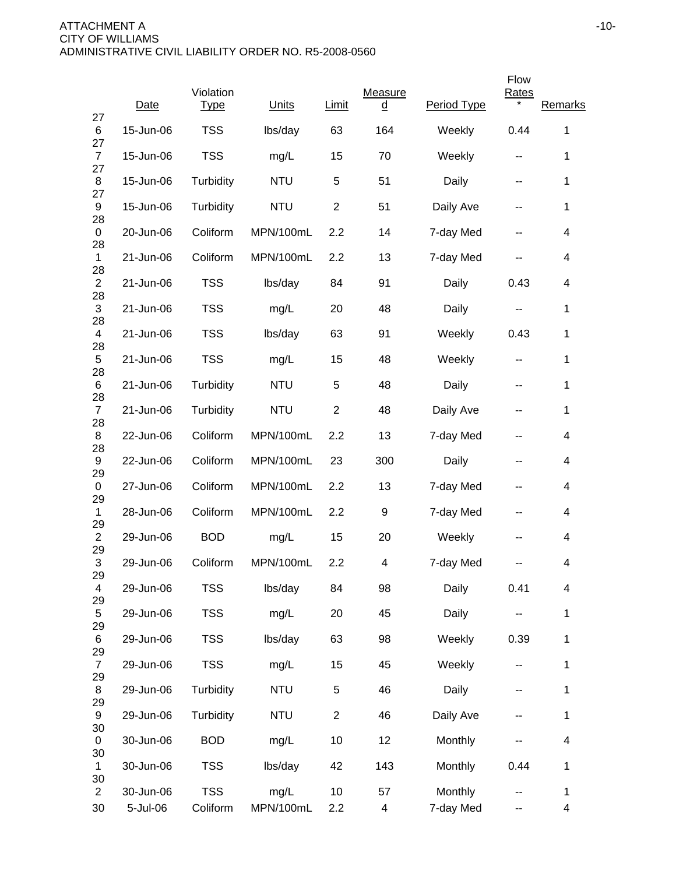|                               |           |                          |            |                |                     |             | Flow          |                          |
|-------------------------------|-----------|--------------------------|------------|----------------|---------------------|-------------|---------------|--------------------------|
| 27                            | Date      | Violation<br><u>Type</u> | Units      | Limit          | Measure<br><u>d</u> | Period Type | <b>Rates</b>  | Remarks                  |
| 6<br>27                       | 15-Jun-06 | <b>TSS</b>               | lbs/day    | 63             | 164                 | Weekly      | 0.44          | 1                        |
| $\overline{7}$<br>27          | 15-Jun-06 | <b>TSS</b>               | mg/L       | 15             | 70                  | Weekly      | --            | 1                        |
| 8<br>27                       | 15-Jun-06 | Turbidity                | <b>NTU</b> | 5              | 51                  | Daily       | --            | 1                        |
| 9<br>28                       | 15-Jun-06 | Turbidity                | <b>NTU</b> | $\overline{2}$ | 51                  | Daily Ave   | --            | $\mathbf 1$              |
| 0                             | 20-Jun-06 | Coliform                 | MPN/100mL  | 2.2            | 14                  | 7-day Med   | --            | 4                        |
| 28<br>$\mathbf{1}$            | 21-Jun-06 | Coliform                 | MPN/100mL  | 2.2            | 13                  | 7-day Med   | --            | 4                        |
| 28<br>$\mathbf{2}$            | 21-Jun-06 | <b>TSS</b>               | lbs/day    | 84             | 91                  | Daily       | 0.43          | 4                        |
| 28<br>$\mathfrak{S}$          | 21-Jun-06 | <b>TSS</b>               | mg/L       | 20             | 48                  | Daily       | $\sim$ $\sim$ | 1                        |
| 28<br>4                       | 21-Jun-06 | <b>TSS</b>               | lbs/day    | 63             | 91                  | Weekly      | 0.43          | 1                        |
| 28<br>5                       | 21-Jun-06 | <b>TSS</b>               | mg/L       | 15             | 48                  | Weekly      | $\sim$ $\sim$ | 1                        |
| 28<br>6                       | 21-Jun-06 | Turbidity                | <b>NTU</b> | 5              | 48                  | Daily       | --            | 1                        |
| 28<br>$\overline{7}$          | 21-Jun-06 | Turbidity                | <b>NTU</b> | $\overline{2}$ | 48                  | Daily Ave   | --            | 1                        |
| 28<br>8                       | 22-Jun-06 | Coliform                 | MPN/100mL  | 2.2            | 13                  | 7-day Med   | --            | 4                        |
| 28<br>9                       | 22-Jun-06 | Coliform                 | MPN/100mL  | 23             | 300                 | Daily       | --            | 4                        |
| 29<br>0                       | 27-Jun-06 | Coliform                 | MPN/100mL  | 2.2            | 13                  | 7-day Med   | --            | 4                        |
| 29<br>$\mathbf{1}$            | 28-Jun-06 | Coliform                 | MPN/100mL  | 2.2            | 9                   | 7-day Med   | --            | 4                        |
| 29<br>$\overline{c}$          | 29-Jun-06 | <b>BOD</b>               | mg/L       | 15             | 20                  | Weekly      |               | 4                        |
| 29<br>3                       | 29-Jun-06 | Coliform                 | MPN/100mL  | 2.2            | 4                   | 7-day Med   | --            | 4                        |
| 29<br>$\overline{\mathbf{4}}$ | 29-Jun-06 | <b>TSS</b>               | lbs/day    | 84             | 98                  | Daily       | 0.41          | $\overline{\mathcal{A}}$ |
| 29<br>5                       | 29-Jun-06 | <b>TSS</b>               | mg/L       | 20             | 45                  | Daily       |               | $\mathbf{1}$             |
| 29<br>6<br>29                 | 29-Jun-06 | <b>TSS</b>               | lbs/day    | 63             | 98                  | Weekly      | 0.39          | 1                        |
| $\overline{7}$                | 29-Jun-06 | <b>TSS</b>               | mg/L       | 15             | 45                  | Weekly      | ۰.            | 1                        |
| 29<br>8                       | 29-Jun-06 | Turbidity                | <b>NTU</b> | 5              | 46                  | Daily       | --            | 1                        |
| 29<br>9                       | 29-Jun-06 | Turbidity                | <b>NTU</b> | $\overline{2}$ | 46                  | Daily Ave   | --            | $\mathbf{1}$             |
| 30<br>0                       | 30-Jun-06 | <b>BOD</b>               | mg/L       | 10             | 12                  | Monthly     | --            | $\overline{\mathbf{4}}$  |
| 30<br>1                       | 30-Jun-06 | <b>TSS</b>               | lbs/day    | 42             | 143                 | Monthly     | 0.44          | $\mathbf 1$              |
| 30<br>$\overline{2}$          | 30-Jun-06 | <b>TSS</b>               | mg/L       | 10             | 57                  | Monthly     |               | 1                        |
| 30                            | 5-Jul-06  | Coliform                 | MPN/100mL  | 2.2            | 4                   | 7-day Med   | --            | 4                        |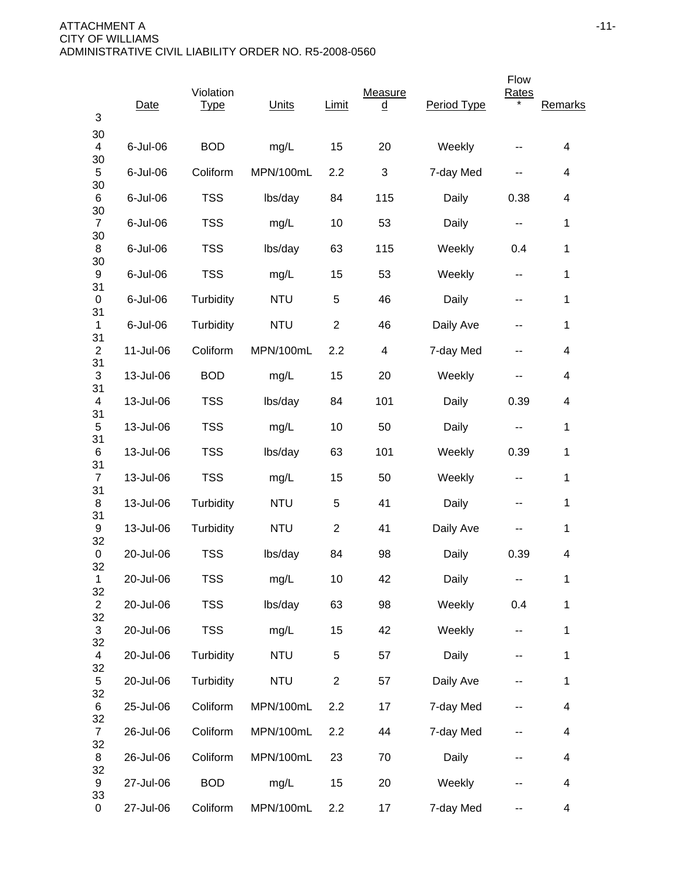| 3                    | Date      | Violation<br><b>Type</b> | Units      | Limit          | Measure<br><u>d</u>       | Period Type | Flow<br>Rates | Remarks |
|----------------------|-----------|--------------------------|------------|----------------|---------------------------|-------------|---------------|---------|
| 30<br>$\overline{4}$ | 6-Jul-06  | <b>BOD</b>               | mg/L       | 15             | 20                        | Weekly      |               | 4       |
| 30<br>5              | 6-Jul-06  | Coliform                 | MPN/100mL  | 2.2            | $\ensuremath{\mathsf{3}}$ | 7-day Med   | --            | 4       |
| 30<br>6              | 6-Jul-06  | <b>TSS</b>               | lbs/day    | 84             | 115                       | Daily       | 0.38          | 4       |
| 30<br>$\overline{7}$ | 6-Jul-06  | <b>TSS</b>               | mg/L       | 10             | 53                        | Daily       | ۰.            | 1       |
| 30<br>8              | 6-Jul-06  | <b>TSS</b>               | lbs/day    | 63             | 115                       | Weekly      | 0.4           | 1       |
| 30<br>9              | 6-Jul-06  | <b>TSS</b>               | mg/L       | 15             | 53                        | Weekly      | --            | 1       |
| 31<br>$\pmb{0}$      | 6-Jul-06  | Turbidity                | <b>NTU</b> | 5              | 46                        | Daily       | --            | 1       |
| 31<br>$\mathbf{1}$   | 6-Jul-06  | Turbidity                | <b>NTU</b> | $\overline{2}$ | 46                        | Daily Ave   |               | 1       |
| 31<br>$\mathbf{2}$   | 11-Jul-06 | Coliform                 | MPN/100mL  | 2.2            | 4                         | 7-day Med   | --            | 4       |
| 31<br>$\sqrt{3}$     | 13-Jul-06 | <b>BOD</b>               | mg/L       | 15             | 20                        | Weekly      |               | 4       |
| 31<br>4              | 13-Jul-06 | <b>TSS</b>               | lbs/day    | 84             | 101                       | Daily       | 0.39          | 4       |
| 31<br>5              | 13-Jul-06 | <b>TSS</b>               | mg/L       | 10             | 50                        | Daily       | --            | 1       |
| 31<br>$\,6$          | 13-Jul-06 | <b>TSS</b>               | lbs/day    | 63             | 101                       | Weekly      | 0.39          | 1       |
| 31<br>$\overline{7}$ | 13-Jul-06 | <b>TSS</b>               | mg/L       | 15             | 50                        | Weekly      | --            | 1       |
| 31<br>8              | 13-Jul-06 | Turbidity                | <b>NTU</b> | 5              | 41                        | Daily       | --            | 1       |
| 31<br>9              | 13-Jul-06 | Turbidity                | <b>NTU</b> | $\overline{2}$ | 41                        | Daily Ave   | --            | 1       |
| 32<br>0              | 20-Jul-06 | <b>TSS</b>               | lbs/day    | 84             | 98                        | Daily       | 0.39          | 4       |
| 32<br>$\mathbf 1$    | 20-Jul-06 | <b>TSS</b>               | mg/L       | 10             | 42                        | Daily       |               | 1       |
| 32<br>$\overline{2}$ | 20-Jul-06 | <b>TSS</b>               | lbs/day    | 63             | 98                        | Weekly      | 0.4           | 1       |
| 32<br>$\sqrt{3}$     | 20-Jul-06 | <b>TSS</b>               | mg/L       | 15             | 42                        | Weekly      |               | 1       |
| 32<br>4              | 20-Jul-06 | Turbidity                | <b>NTU</b> | $\,$ 5 $\,$    | 57                        | Daily       | --            | 1       |
| 32<br>5              | 20-Jul-06 | Turbidity                | <b>NTU</b> | $\overline{2}$ | 57                        | Daily Ave   | --            | 1       |
| 32<br>6              | 25-Jul-06 | Coliform                 | MPN/100mL  | 2.2            | 17                        | 7-day Med   |               | 4       |
| 32<br>$\overline{7}$ | 26-Jul-06 | Coliform                 | MPN/100mL  | 2.2            | 44                        | 7-day Med   | --            | 4       |
| 32<br>8              | 26-Jul-06 | Coliform                 | MPN/100mL  | 23             | 70                        | Daily       | --            | 4       |
| 32<br>9              | 27-Jul-06 | <b>BOD</b>               | mg/L       | 15             | 20                        | Weekly      |               | 4       |
| 33<br>0              | 27-Jul-06 | Coliform                 | MPN/100mL  | 2.2            | 17                        | 7-day Med   | --            | 4       |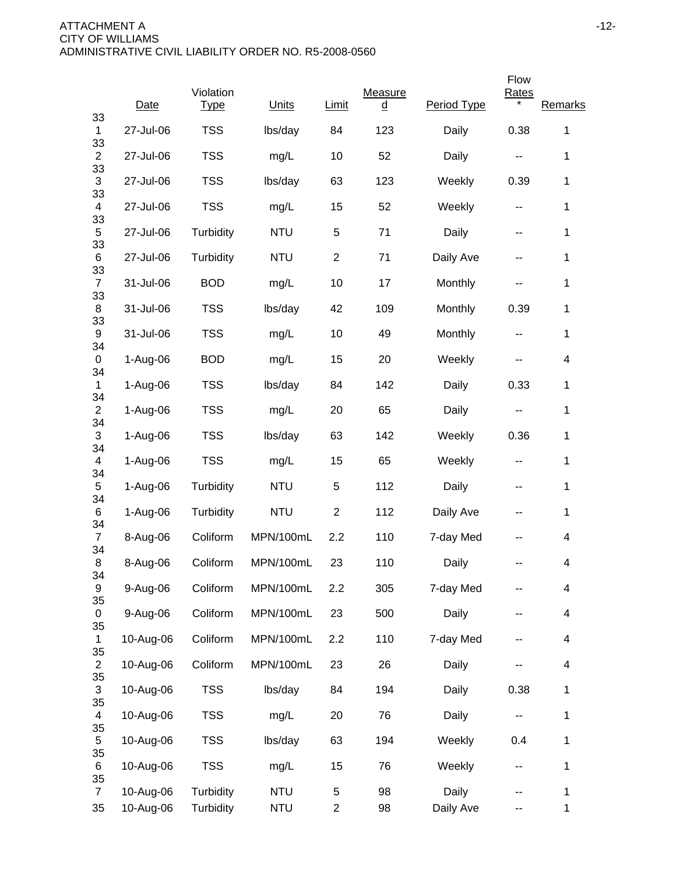| Date                   | <b>Type</b>            | Units                    | <b>Limit</b>        | <u>d</u> | Period Type        |          | Remarks              |
|------------------------|------------------------|--------------------------|---------------------|----------|--------------------|----------|----------------------|
| 27-Jul-06              | <b>TSS</b>             | lbs/day                  | 84                  | 123      | Daily              | 0.38     | 1                    |
| 27-Jul-06              | <b>TSS</b>             | mg/L                     | 10                  | 52       | Daily              | ۰.       | 1                    |
| 27-Jul-06              | <b>TSS</b>             | lbs/day                  | 63                  | 123      | Weekly             | 0.39     | 1                    |
| 27-Jul-06              | <b>TSS</b>             | mg/L                     | 15                  | 52       | Weekly             | --       | 1                    |
| 27-Jul-06              | Turbidity              | <b>NTU</b>               | 5                   | 71       | Daily              | --       | 1                    |
| 27-Jul-06              | Turbidity              | <b>NTU</b>               | $\overline{c}$      | 71       | Daily Ave          | --       | $\mathbf 1$          |
| 31-Jul-06              | <b>BOD</b>             | mg/L                     | 10                  | 17       | Monthly            |          | 1                    |
| 31-Jul-06              | <b>TSS</b>             | lbs/day                  | 42                  | 109      | Monthly            | 0.39     | 1                    |
| 31-Jul-06              | <b>TSS</b>             | mg/L                     | 10                  | 49       | Monthly            | --       | 1                    |
| 1-Aug-06               | <b>BOD</b>             | mg/L                     | 15                  | 20       | Weekly             |          | 4                    |
| 1-Aug-06               | <b>TSS</b>             | lbs/day                  | 84                  | 142      | Daily              | 0.33     | 1                    |
| 1-Aug-06               | <b>TSS</b>             | mg/L                     | 20                  | 65       | Daily              | --       | 1                    |
| 1-Aug-06               | <b>TSS</b>             | lbs/day                  | 63                  | 142      | Weekly             | 0.36     | $\mathbf 1$          |
| $1-Aug-06$             | <b>TSS</b>             | mg/L                     | 15                  | 65       | Weekly             | --       | $\mathbf{1}$         |
| 1-Aug-06               | Turbidity              | <b>NTU</b>               | 5                   | 112      | Daily              | --       | 1                    |
| 1-Aug-06               | Turbidity              | <b>NTU</b>               | $\overline{c}$      | 112      | Daily Ave          | --       | 1                    |
| 8-Aug-06               | Coliform               | MPN/100mL                | 2.2                 | 110      | 7-day Med          |          | 4                    |
| 8-Aug-06               | Coliform               | MPN/100mL                | 23                  | 110      | Daily              |          | 4                    |
| 9-Aug-06               | Coliform               | MPN/100mL                | 2.2                 | 305      | 7-day Med          |          | 4                    |
| 9-Aug-06               | Coliform               | MPN/100mL                | 23                  | 500      | Daily              |          | 4                    |
| 10-Aug-06              | Coliform               | MPN/100mL                | 2.2                 | 110      | 7-day Med          | --       | 4                    |
| 10-Aug-06              | Coliform               | MPN/100mL                | 23                  | 26       | Daily              |          | 4                    |
| 10-Aug-06              | <b>TSS</b>             | lbs/day                  | 84                  | 194      | Daily              | 0.38     | $\mathbf{1}$         |
| 10-Aug-06              | <b>TSS</b>             | mg/L                     | 20                  | 76       | Daily              | --       | $\mathbf 1$          |
| 10-Aug-06              | <b>TSS</b>             | lbs/day                  | 63                  | 194      | Weekly             | 0.4      | 1                    |
| 10-Aug-06              | <b>TSS</b>             | mg/L                     | 15                  | 76       | Weekly             | --       | $\mathbf 1$          |
| 10-Aug-06<br>10-Aug-06 | Turbidity<br>Turbidity | <b>NTU</b><br><b>NTU</b> | 5<br>$\overline{c}$ | 98<br>98 | Daily<br>Daily Ave | --<br>-- | 1<br>$\mathbf 1$     |
|                        |                        | Violation                |                     |          | Measure            |          | Flow<br><b>Rates</b> |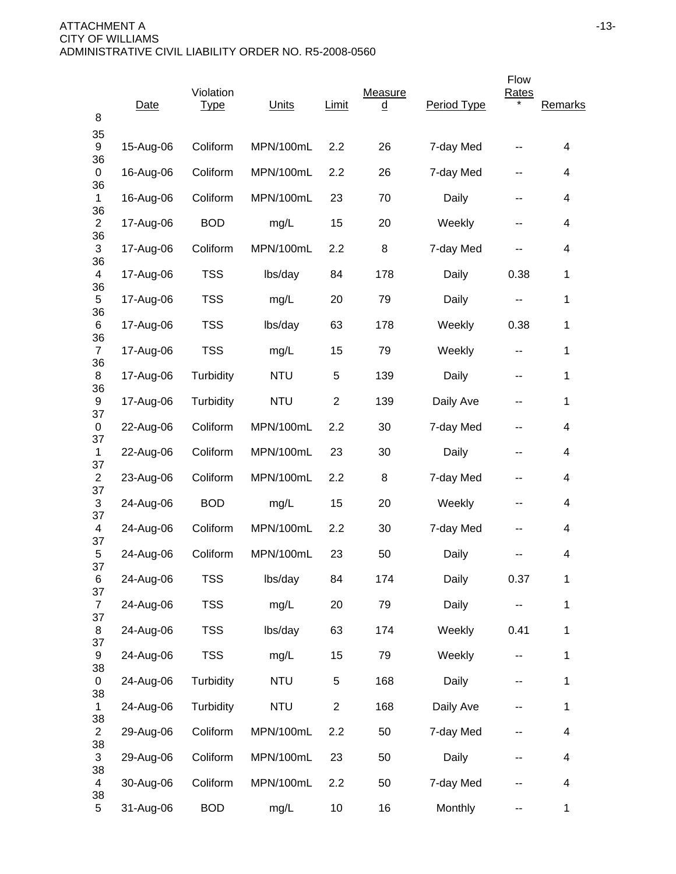| 8                    | Date      | Violation<br><u>Type</u> | Units      | Limit          | Measure<br><u>d</u> | Period Type | Flow<br><b>Rates</b> | Remarks      |
|----------------------|-----------|--------------------------|------------|----------------|---------------------|-------------|----------------------|--------------|
| 35<br>9              | 15-Aug-06 | Coliform                 | MPN/100mL  | 2.2            | 26                  | 7-day Med   |                      | 4            |
| 36<br>0              | 16-Aug-06 | Coliform                 | MPN/100mL  | 2.2            | 26                  | 7-day Med   | --                   | 4            |
| 36<br>$\mathbf 1$    | 16-Aug-06 | Coliform                 | MPN/100mL  | 23             | 70                  | Daily       | --                   | 4            |
| 36<br>$\overline{2}$ | 17-Aug-06 | <b>BOD</b>               | mg/L       | 15             | 20                  | Weekly      | --                   | 4            |
| 36<br>3              | 17-Aug-06 | Coliform                 | MPN/100mL  | 2.2            | 8                   | 7-day Med   | --                   | 4            |
| 36<br>4              | 17-Aug-06 | <b>TSS</b>               | lbs/day    | 84             | 178                 | Daily       | 0.38                 | 1            |
| 36<br>5              | 17-Aug-06 | <b>TSS</b>               | mg/L       | 20             | 79                  | Daily       | --                   | 1            |
| 36<br>6              | 17-Aug-06 | <b>TSS</b>               | lbs/day    | 63             | 178                 | Weekly      | 0.38                 | 1            |
| 36<br>$\overline{7}$ | 17-Aug-06 | <b>TSS</b>               | mg/L       | 15             | 79                  | Weekly      | --                   | 1            |
| 36<br>8<br>36        | 17-Aug-06 | Turbidity                | <b>NTU</b> | 5              | 139                 | Daily       | --                   | $\mathbf{1}$ |
| 9<br>37              | 17-Aug-06 | Turbidity                | <b>NTU</b> | $\overline{2}$ | 139                 | Daily Ave   | --                   | 1            |
| 0<br>37              | 22-Aug-06 | Coliform                 | MPN/100mL  | 2.2            | 30                  | 7-day Med   | --                   | 4            |
| 1<br>37              | 22-Aug-06 | Coliform                 | MPN/100mL  | 23             | 30                  | Daily       | --                   | 4            |
| $\overline{2}$<br>37 | 23-Aug-06 | Coliform                 | MPN/100mL  | 2.2            | 8                   | 7-day Med   | --                   | 4            |
| 3<br>37              | 24-Aug-06 | <b>BOD</b>               | mg/L       | 15             | 20                  | Weekly      | --                   | 4            |
| 4<br>37              | 24-Aug-06 | Coliform                 | MPN/100mL  | 2.2            | 30                  | 7-day Med   | --                   | 4            |
| 5<br>37              | 24-Aug-06 | Coliform                 | MPN/100mL  | 23             | 50                  | Daily       |                      | 4            |
| 6<br>37              | 24-Aug-06 | <b>TSS</b>               | lbs/day    | 84             | 174                 | Daily       | 0.37                 | $\mathbf 1$  |
| $\overline{7}$<br>37 | 24-Aug-06 | <b>TSS</b>               | mg/L       | 20             | 79                  | Daily       |                      | $\mathbf 1$  |
| 8<br>37              | 24-Aug-06 | <b>TSS</b>               | lbs/day    | 63             | 174                 | Weekly      | 0.41                 | $\mathbf 1$  |
| 9<br>38              | 24-Aug-06 | <b>TSS</b>               | mg/L       | 15             | 79                  | Weekly      | --                   | $\mathbf 1$  |
| 0<br>38              | 24-Aug-06 | Turbidity                | <b>NTU</b> | $\,$ 5 $\,$    | 168                 | Daily       | --                   | $\mathbf 1$  |
| $\mathbf{1}$<br>38   | 24-Aug-06 | Turbidity                | <b>NTU</b> | $\overline{2}$ | 168                 | Daily Ave   |                      | $\mathbf 1$  |
| $\overline{c}$<br>38 | 29-Aug-06 | Coliform                 | MPN/100mL  | 2.2            | 50                  | 7-day Med   |                      | 4            |
| 3<br>38              | 29-Aug-06 | Coliform                 | MPN/100mL  | 23             | 50                  | Daily       |                      | 4            |
| 4                    | 30-Aug-06 | Coliform                 | MPN/100mL  | 2.2            | 50                  | 7-day Med   |                      | 4            |
| 38<br>5              | 31-Aug-06 | <b>BOD</b>               | mg/L       | 10             | 16                  | Monthly     | --                   | $\mathbf{1}$ |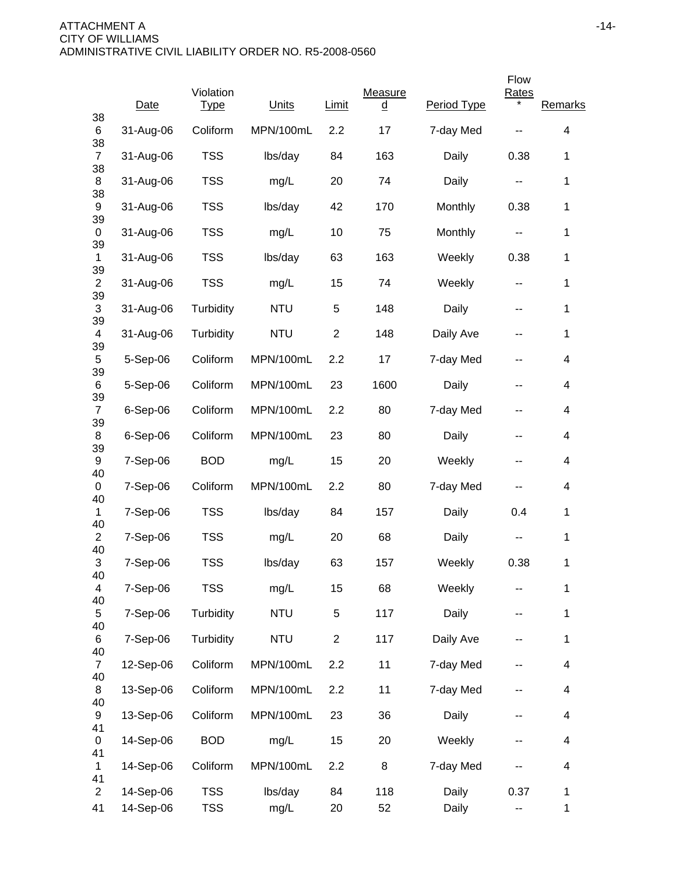|                      |            |                          |            |                |                     |             | Flow         |                         |
|----------------------|------------|--------------------------|------------|----------------|---------------------|-------------|--------------|-------------------------|
| 38                   | Date       | Violation<br><u>Type</u> | Units      | <b>Limit</b>   | Measure<br><u>d</u> | Period Type | <b>Rates</b> | Remarks                 |
| 6<br>38              | 31-Aug-06  | Coliform                 | MPN/100mL  | 2.2            | 17                  | 7-day Med   |              | 4                       |
| $\overline{7}$<br>38 | 31-Aug-06  | <b>TSS</b>               | lbs/day    | 84             | 163                 | Daily       | 0.38         | 1                       |
| 8<br>38              | 31-Aug-06  | <b>TSS</b>               | mg/L       | 20             | 74                  | Daily       | --           | 1                       |
| 9                    | 31-Aug-06  | <b>TSS</b>               | lbs/day    | 42             | 170                 | Monthly     | 0.38         | 1                       |
| 39<br>0              | 31-Aug-06  | <b>TSS</b>               | mg/L       | 10             | 75                  | Monthly     | ۰.           | 1                       |
| 39<br>1              | 31-Aug-06  | <b>TSS</b>               | lbs/day    | 63             | 163                 | Weekly      | 0.38         | $\mathbf 1$             |
| 39<br>$\overline{2}$ | 31-Aug-06  | <b>TSS</b>               | mg/L       | 15             | 74                  | Weekly      | --           | 1                       |
| 39<br>3              | 31-Aug-06  | Turbidity                | <b>NTU</b> | 5              | 148                 | Daily       | --           | 1                       |
| 39<br>4              | 31-Aug-06  | Turbidity                | <b>NTU</b> | $\overline{2}$ | 148                 | Daily Ave   | --           | $\mathbf{1}$            |
| 39<br>5<br>39        | 5-Sep-06   | Coliform                 | MPN/100mL  | 2.2            | 17                  | 7-day Med   | --           | 4                       |
| 6<br>39              | 5-Sep-06   | Coliform                 | MPN/100mL  | 23             | 1600                | Daily       | --           | 4                       |
| $\overline{7}$<br>39 | 6-Sep-06   | Coliform                 | MPN/100mL  | 2.2            | 80                  | 7-day Med   | --           | 4                       |
| 8<br>39              | $6-Sep-06$ | Coliform                 | MPN/100mL  | 23             | 80                  | Daily       | --           | 4                       |
| 9<br>40              | 7-Sep-06   | <b>BOD</b>               | mg/L       | 15             | 20                  | Weekly      | --           | 4                       |
| 0<br>40              | 7-Sep-06   | Coliform                 | MPN/100mL  | 2.2            | 80                  | 7-day Med   |              | 4                       |
| $\mathbf{1}$<br>40   | 7-Sep-06   | <b>TSS</b>               | lbs/day    | 84             | 157                 | Daily       | 0.4          | 1                       |
| $\overline{c}$<br>40 | 7-Sep-06   | <b>TSS</b>               | mg/L       | 20             | 68                  | Daily       |              | $\mathbf 1$             |
| 3<br>40              | 7-Sep-06   | <b>TSS</b>               | lbs/day    | 63             | 157                 | Weekly      | 0.38         | 1                       |
| 4<br>40              | 7-Sep-06   | <b>TSS</b>               | mg/L       | 15             | 68                  | Weekly      |              | 1                       |
| 5<br>40              | 7-Sep-06   | Turbidity                | <b>NTU</b> | 5              | 117                 | Daily       |              | $\mathbf{1}$            |
| 6<br>40              | 7-Sep-06   | Turbidity                | <b>NTU</b> | $\overline{c}$ | 117                 | Daily Ave   | --           | $\mathbf 1$             |
| $\overline{7}$<br>40 | 12-Sep-06  | Coliform                 | MPN/100mL  | 2.2            | 11                  | 7-day Med   |              | $\overline{\mathbf{4}}$ |
| 8<br>40              | 13-Sep-06  | Coliform                 | MPN/100mL  | 2.2            | 11                  | 7-day Med   |              | 4                       |
| 9<br>41              | 13-Sep-06  | Coliform                 | MPN/100mL  | 23             | 36                  | Daily       | --           | 4                       |
| $\mathbf 0$<br>41    | 14-Sep-06  | <b>BOD</b>               | mg/L       | 15             | 20                  | Weekly      | --           | 4                       |
| 1<br>41              | 14-Sep-06  | Coliform                 | MPN/100mL  | 2.2            | 8                   | 7-day Med   |              | 4                       |
| $\overline{2}$       | 14-Sep-06  | <b>TSS</b>               | lbs/day    | 84             | 118                 | Daily       | 0.37         | $\mathbf 1$             |
| 41                   | 14-Sep-06  | <b>TSS</b>               | mg/L       | 20             | 52                  | Daily       | -−           | $\mathbf 1$             |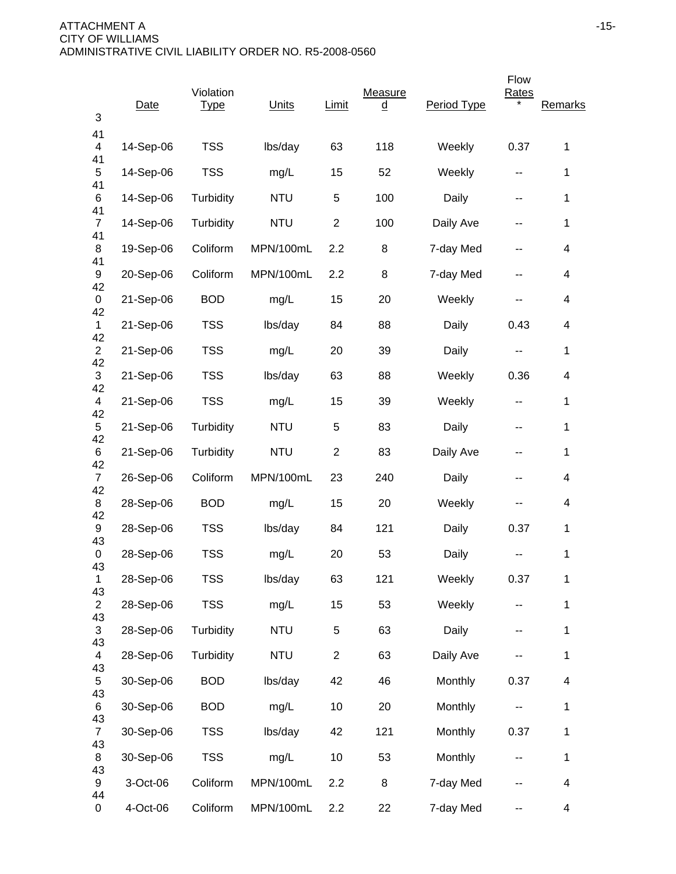| 3                    | Date      | Violation<br><b>Type</b> | Units      | Limit          | Measure<br><u>d</u> | Period Type | Flow<br><b>Rates</b> | Remarks                  |
|----------------------|-----------|--------------------------|------------|----------------|---------------------|-------------|----------------------|--------------------------|
| 41<br>4              | 14-Sep-06 | <b>TSS</b>               | lbs/day    | 63             | 118                 | Weekly      | 0.37                 | 1                        |
| 41<br>5              | 14-Sep-06 | <b>TSS</b>               | mg/L       | 15             | 52                  | Weekly      | --                   | 1                        |
| 41<br>6              | 14-Sep-06 | Turbidity                | <b>NTU</b> | 5              | 100                 | Daily       | --                   | 1                        |
| 41<br>$\overline{7}$ | 14-Sep-06 | Turbidity                | <b>NTU</b> | $\overline{c}$ | 100                 | Daily Ave   | --                   | 1                        |
| 41<br>8              | 19-Sep-06 | Coliform                 | MPN/100mL  | 2.2            | 8                   | 7-day Med   | --                   | 4                        |
| 41<br>9              | 20-Sep-06 | Coliform                 | MPN/100mL  | 2.2            | 8                   | 7-day Med   | --                   | 4                        |
| 42<br>0              | 21-Sep-06 | <b>BOD</b>               | mg/L       | 15             | 20                  | Weekly      |                      | 4                        |
| 42<br>$\mathbf{1}$   | 21-Sep-06 | <b>TSS</b>               | lbs/day    | 84             | 88                  | Daily       | 0.43                 | 4                        |
| 42<br>$\overline{2}$ | 21-Sep-06 | <b>TSS</b>               | mg/L       | 20             | 39                  | Daily       | --                   | 1                        |
| 42<br>3              | 21-Sep-06 | <b>TSS</b>               | lbs/day    | 63             | 88                  | Weekly      | 0.36                 | 4                        |
| 42<br>4              | 21-Sep-06 | <b>TSS</b>               | mg/L       | 15             | 39                  | Weekly      | --                   | 1                        |
| 42<br>5              | 21-Sep-06 | Turbidity                | <b>NTU</b> | 5              | 83                  | Daily       | --                   | 1                        |
| 42<br>6              | 21-Sep-06 | Turbidity                | <b>NTU</b> | $\overline{2}$ | 83                  | Daily Ave   | --                   | 1                        |
| 42<br>$\overline{7}$ | 26-Sep-06 | Coliform                 | MPN/100mL  | 23             | 240                 | Daily       | --                   | 4                        |
| 42<br>8              | 28-Sep-06 | <b>BOD</b>               | mg/L       | 15             | 20                  | Weekly      | --                   | 4                        |
| 42<br>9              | 28-Sep-06 | <b>TSS</b>               | lbs/day    | 84             | 121                 | Daily       | 0.37                 | 1                        |
| 43<br>0              | 28-Sep-06 | <b>TSS</b>               | mg/L       | 20             | 53                  | Daily       |                      | 1                        |
| 43<br>$\mathbf{1}$   | 28-Sep-06 | <b>TSS</b>               | lbs/day    | 63             | 121                 | Weekly      | 0.37                 | 1                        |
| 43<br>$\overline{2}$ | 28-Sep-06 | <b>TSS</b>               | mg/L       | 15             | 53                  | Weekly      | --                   | 1                        |
| 43<br>$\mathfrak{S}$ | 28-Sep-06 | Turbidity                | <b>NTU</b> | $\sqrt{5}$     | 63                  | Daily       | --                   | 1                        |
| 43<br>4              | 28-Sep-06 | Turbidity                | <b>NTU</b> | $\overline{2}$ | 63                  | Daily Ave   |                      | 1                        |
| 43<br>5              | 30-Sep-06 | <b>BOD</b>               | lbs/day    | 42             | 46                  | Monthly     | 0.37                 | $\overline{\mathcal{A}}$ |
| 43<br>6              | 30-Sep-06 | <b>BOD</b>               | mg/L       | 10             | 20                  | Monthly     |                      | 1                        |
| 43<br>$\overline{7}$ | 30-Sep-06 | <b>TSS</b>               | lbs/day    | 42             | 121                 | Monthly     | 0.37                 | 1                        |
| 43<br>8              | 30-Sep-06 | <b>TSS</b>               | mg/L       | 10             | 53                  | Monthly     | --                   | 1                        |
| 43<br>9              | 3-Oct-06  | Coliform                 | MPN/100mL  | 2.2            | 8                   | 7-day Med   | --                   | 4                        |
| 44<br>0              | 4-Oct-06  | Coliform                 | MPN/100mL  | 2.2            | 22                  | 7-day Med   | --                   | $\overline{\mathbf{4}}$  |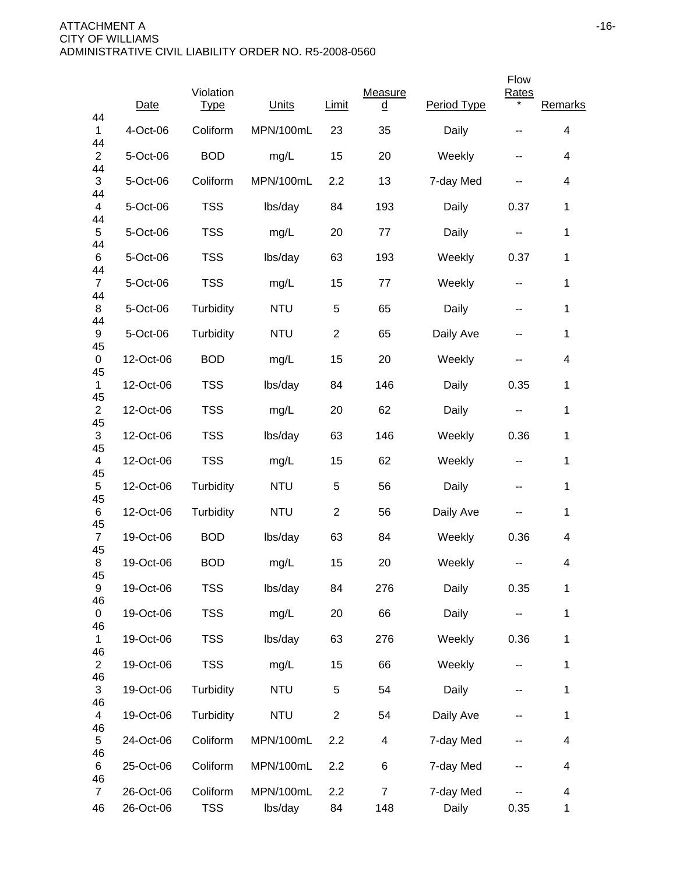|                            |                        |                          |                      |                |                       |                    | Flow                     |                          |
|----------------------------|------------------------|--------------------------|----------------------|----------------|-----------------------|--------------------|--------------------------|--------------------------|
| 44                         | Date                   | Violation<br><b>Type</b> | Units                | <b>Limit</b>   | Measure<br><u>d</u>   | Period Type        | <b>Rates</b>             | Remarks                  |
| 1<br>44                    | 4-Oct-06               | Coliform                 | MPN/100mL            | 23             | 35                    | Daily              | --                       | 4                        |
| $\overline{2}$<br>44       | 5-Oct-06               | <b>BOD</b>               | mg/L                 | 15             | 20                    | Weekly             | --                       | 4                        |
| 3<br>44                    | 5-Oct-06               | Coliform                 | MPN/100mL            | 2.2            | 13                    | 7-day Med          | --                       | $\overline{\mathcal{A}}$ |
| 4<br>44                    | 5-Oct-06               | <b>TSS</b>               | lbs/day              | 84             | 193                   | Daily              | 0.37                     | $\mathbf{1}$             |
| 5<br>44                    | 5-Oct-06               | <b>TSS</b>               | mg/L                 | 20             | 77                    | Daily              | --                       | 1                        |
| 6<br>44                    | 5-Oct-06               | <b>TSS</b>               | lbs/day              | 63             | 193                   | Weekly             | 0.37                     | 1                        |
| $\overline{7}$<br>44       | 5-Oct-06               | <b>TSS</b>               | mg/L                 | 15             | 77                    | Weekly             | $\sim$ $\sim$            | 1                        |
| 8<br>44                    | 5-Oct-06               | Turbidity                | <b>NTU</b>           | 5              | 65                    | Daily              | $\overline{\phantom{a}}$ | 1                        |
| 9<br>45                    | 5-Oct-06               | Turbidity                | <b>NTU</b>           | $\overline{2}$ | 65                    | Daily Ave          | --                       | 1                        |
| 0                          | 12-Oct-06              | <b>BOD</b>               | mg/L                 | 15             | 20                    | Weekly             | --                       | 4                        |
| 45<br>$\mathbf{1}$         | 12-Oct-06              | <b>TSS</b>               | lbs/day              | 84             | 146                   | Daily              | 0.35                     | $\mathbf 1$              |
| 45<br>$\overline{2}$       | 12-Oct-06              | <b>TSS</b>               | mg/L                 | 20             | 62                    | Daily              | --                       | 1                        |
| 45<br>$\mathfrak{S}$       | 12-Oct-06              | <b>TSS</b>               | lbs/day              | 63             | 146                   | Weekly             | 0.36                     | $\mathbf{1}$             |
| 45<br>4                    | 12-Oct-06              | <b>TSS</b>               | mg/L                 | 15             | 62                    | Weekly             | --                       | 1                        |
| 45<br>5                    | 12-Oct-06              | Turbidity                | <b>NTU</b>           | 5              | 56                    | Daily              | --                       | 1                        |
| 45<br>6<br>45              | 12-Oct-06              | Turbidity                | <b>NTU</b>           | $\overline{2}$ | 56                    | Daily Ave          | --                       | $\mathbf{1}$             |
| $\overline{7}$<br>45       | 19-Oct-06              | <b>BOD</b>               | lbs/day              | 63             | 84                    | Weekly             | 0.36                     | 4                        |
| 8                          | 19-Oct-06              | <b>BOD</b>               | mg/L                 | 15             | 20                    | Weekly             | --                       | 4                        |
| 45<br>9<br>46              | 19-Oct-06              | <b>TSS</b>               | lbs/day              | 84             | 276                   | Daily              | 0.35                     | 1                        |
| 0                          | 19-Oct-06              | <b>TSS</b>               | mg/L                 | 20             | 66                    | Daily              |                          | $\mathbf{1}$             |
| 46<br>1                    | 19-Oct-06              | <b>TSS</b>               | lbs/day              | 63             | 276                   | Weekly             | 0.36                     | 1                        |
| 46<br>$\overline{2}$       | 19-Oct-06              | <b>TSS</b>               | mg/L                 | 15             | 66                    | Weekly             | --                       | 1                        |
| 46<br>3                    | 19-Oct-06              | Turbidity                | <b>NTU</b>           | 5              | 54                    | Daily              | --                       | 1                        |
| 46<br>4                    | 19-Oct-06              | Turbidity                | <b>NTU</b>           | $\overline{c}$ | 54                    | Daily Ave          | --                       | 1                        |
| 46<br>5                    | 24-Oct-06              | Coliform                 | MPN/100mL            | 2.2            | 4                     | 7-day Med          | --                       | $\overline{\mathcal{A}}$ |
| 46<br>6                    | 25-Oct-06              | Coliform                 | MPN/100mL            | 2.2            | 6                     | 7-day Med          |                          | 4                        |
| 46<br>$\overline{7}$<br>46 | 26-Oct-06<br>26-Oct-06 | Coliform<br><b>TSS</b>   | MPN/100mL<br>lbs/day | 2.2<br>84      | $\overline{7}$<br>148 | 7-day Med<br>Daily | 0.35                     | 4<br>$\mathbf{1}$        |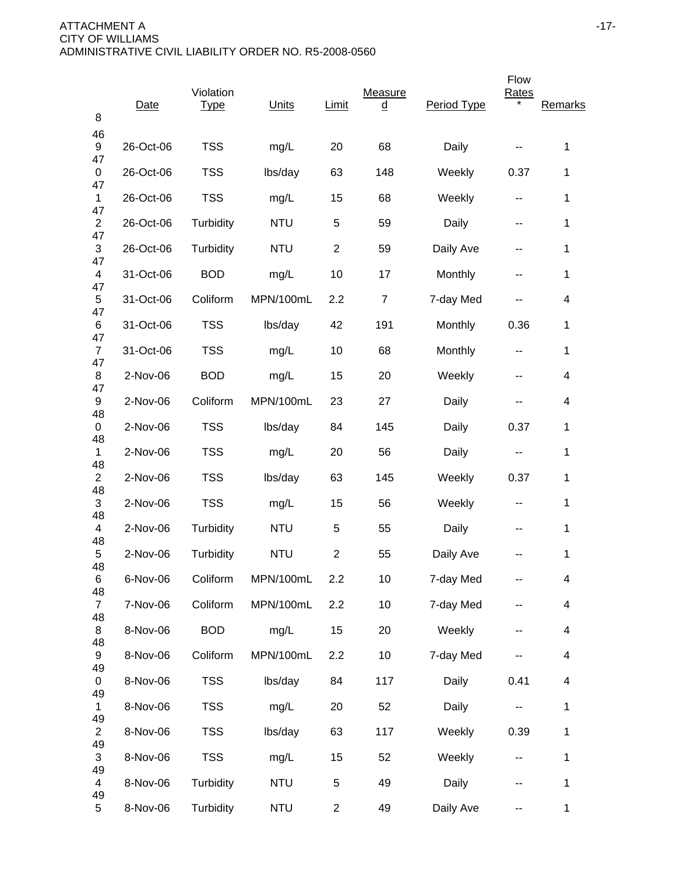| 8                               | Date      | Violation<br><u>Type</u> | Units      | Limit          | <b>Measure</b><br>$\overline{\mathsf{q}}$ | Period Type | Flow<br><b>Rates</b> | Remarks                  |
|---------------------------------|-----------|--------------------------|------------|----------------|-------------------------------------------|-------------|----------------------|--------------------------|
| 46<br>9                         | 26-Oct-06 | <b>TSS</b>               | mg/L       | 20             | 68                                        | Daily       |                      | 1                        |
| 47<br>0                         | 26-Oct-06 | <b>TSS</b>               | lbs/day    | 63             | 148                                       | Weekly      | 0.37                 | 1                        |
| 47<br>$\mathbf{1}$              | 26-Oct-06 | <b>TSS</b>               | mg/L       | 15             | 68                                        | Weekly      | --                   | 1                        |
| 47<br>$\overline{2}$            | 26-Oct-06 | Turbidity                | <b>NTU</b> | 5              | 59                                        | Daily       | --                   | 1                        |
| 47<br>$\ensuremath{\mathsf{3}}$ | 26-Oct-06 | Turbidity                | <b>NTU</b> | $\overline{2}$ | 59                                        | Daily Ave   | --                   | 1                        |
| 47<br>$\overline{\mathbf{4}}$   | 31-Oct-06 | <b>BOD</b>               | mg/L       | 10             | 17                                        | Monthly     | --                   | 1                        |
| 47<br>5                         | 31-Oct-06 | Coliform                 | MPN/100mL  | 2.2            | $\overline{7}$                            | 7-day Med   |                      | 4                        |
| 47<br>6                         | 31-Oct-06 | <b>TSS</b>               | lbs/day    | 42             | 191                                       | Monthly     | 0.36                 | $\mathbf{1}$             |
| 47<br>$\overline{7}$            | 31-Oct-06 | <b>TSS</b>               | mg/L       | 10             | 68                                        | Monthly     | --                   | 1                        |
| 47<br>8                         | 2-Nov-06  | <b>BOD</b>               | mg/L       | 15             | 20                                        | Weekly      | --                   | 4                        |
| 47<br>9                         | 2-Nov-06  | Coliform                 | MPN/100mL  | 23             | 27                                        | Daily       |                      | 4                        |
| 48<br>0                         | 2-Nov-06  | <b>TSS</b>               | lbs/day    | 84             | 145                                       | Daily       | 0.37                 | $\mathbf 1$              |
| 48<br>1                         | 2-Nov-06  | <b>TSS</b>               | mg/L       | 20             | 56                                        | Daily       | --                   | $\mathbf{1}$             |
| 48<br>$\overline{2}$            | 2-Nov-06  | <b>TSS</b>               | lbs/day    | 63             | 145                                       | Weekly      | 0.37                 | $\mathbf{1}$             |
| 48<br>$\mathfrak{S}$            | 2-Nov-06  | <b>TSS</b>               | mg/L       | 15             | 56                                        | Weekly      | --                   | 1                        |
| 48<br>4                         | 2-Nov-06  | Turbidity                | <b>NTU</b> | 5              | 55                                        | Daily       | --                   | 1                        |
| 48<br>5                         | 2-Nov-06  | Turbidity                | <b>NTU</b> | $\overline{2}$ | 55                                        | Daily Ave   |                      | 1                        |
| 48<br>6                         | 6-Nov-06  | Coliform                 | MPN/100mL  | 2.2            | 10                                        | 7-day Med   |                      | 4                        |
| 48<br>$\overline{7}$            | 7-Nov-06  | Coliform                 | MPN/100mL  | 2.2            | 10                                        | 7-day Med   | --                   | 4                        |
| 48<br>8                         | 8-Nov-06  | <b>BOD</b>               | mg/L       | 15             | 20                                        | Weekly      | --                   | $\overline{\mathcal{A}}$ |
| 48<br>9                         | 8-Nov-06  | Coliform                 | MPN/100mL  | 2.2            | 10                                        | 7-day Med   |                      | $\overline{\mathcal{A}}$ |
| 49<br>0                         | 8-Nov-06  | <b>TSS</b>               | lbs/day    | 84             | 117                                       | Daily       | 0.41                 | 4                        |
| 49<br>$\mathbf{1}$              | 8-Nov-06  | <b>TSS</b>               | mg/L       | 20             | 52                                        | Daily       | --                   | $\mathbf 1$              |
| 49<br>$\overline{c}$            | 8-Nov-06  | <b>TSS</b>               | lbs/day    | 63             | 117                                       | Weekly      | 0.39                 | $\mathbf 1$              |
| 49<br>3                         | 8-Nov-06  | <b>TSS</b>               | mg/L       | 15             | 52                                        | Weekly      | --                   | $\mathbf 1$              |
| 49<br>4                         | 8-Nov-06  | Turbidity                | <b>NTU</b> | 5              | 49                                        | Daily       |                      | $\mathbf 1$              |
| 49<br>5                         | 8-Nov-06  | Turbidity                | <b>NTU</b> | $\overline{2}$ | 49                                        | Daily Ave   | --                   | $\mathbf 1$              |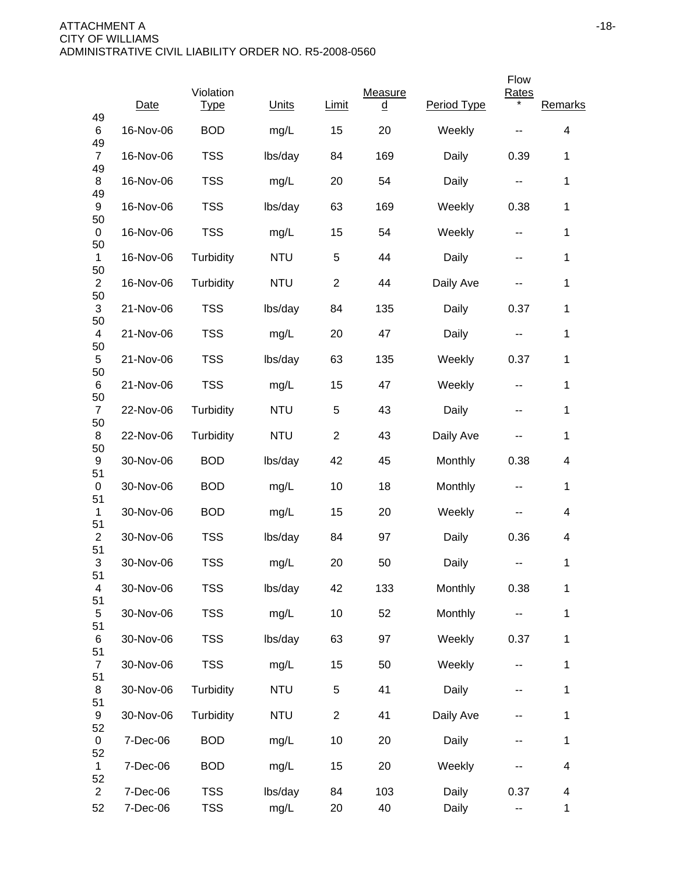|                            |           |                          |            |                |                     |             | Flow                     |                          |
|----------------------------|-----------|--------------------------|------------|----------------|---------------------|-------------|--------------------------|--------------------------|
| 49                         | Date      | Violation<br><u>Type</u> | Units      | <b>Limit</b>   | Measure<br><u>d</u> | Period Type | <b>Rates</b>             | Remarks                  |
| 6<br>49                    | 16-Nov-06 | <b>BOD</b>               | mg/L       | 15             | 20                  | Weekly      |                          | 4                        |
| $\overline{7}$<br>49       | 16-Nov-06 | <b>TSS</b>               | lbs/day    | 84             | 169                 | Daily       | 0.39                     | 1                        |
| 8<br>49                    | 16-Nov-06 | <b>TSS</b>               | mg/L       | 20             | 54                  | Daily       | --                       | 1                        |
| 9<br>50                    | 16-Nov-06 | <b>TSS</b>               | lbs/day    | 63             | 169                 | Weekly      | 0.38                     | 1                        |
| 0<br>50                    | 16-Nov-06 | <b>TSS</b>               | mg/L       | 15             | 54                  | Weekly      | $\overline{\phantom{a}}$ | 1                        |
| $\mathbf{1}$               | 16-Nov-06 | Turbidity                | <b>NTU</b> | 5              | 44                  | Daily       | --                       | 1                        |
| 50<br>$\overline{2}$<br>50 | 16-Nov-06 | Turbidity                | <b>NTU</b> | $\overline{2}$ | 44                  | Daily Ave   | --                       | 1                        |
| 3<br>50                    | 21-Nov-06 | <b>TSS</b>               | lbs/day    | 84             | 135                 | Daily       | 0.37                     | 1                        |
| $\overline{4}$             | 21-Nov-06 | <b>TSS</b>               | mg/L       | 20             | 47                  | Daily       | --                       | 1                        |
| 50<br>5                    | 21-Nov-06 | <b>TSS</b>               | lbs/day    | 63             | 135                 | Weekly      | 0.37                     | 1                        |
| 50<br>6                    | 21-Nov-06 | <b>TSS</b>               | mg/L       | 15             | 47                  | Weekly      | --                       | $\mathbf{1}$             |
| 50<br>$\overline{7}$       | 22-Nov-06 | Turbidity                | <b>NTU</b> | 5              | 43                  | Daily       | --                       | $\mathbf{1}$             |
| 50<br>8                    | 22-Nov-06 | Turbidity                | <b>NTU</b> | $\overline{2}$ | 43                  | Daily Ave   | --                       | 1                        |
| 50<br>9                    | 30-Nov-06 | <b>BOD</b>               | lbs/day    | 42             | 45                  | Monthly     | 0.38                     | 4                        |
| 51<br>0                    | 30-Nov-06 | <b>BOD</b>               | mg/L       | 10             | 18                  | Monthly     | ۰.                       | $\mathbf{1}$             |
| 51<br>$\mathbf{1}$         | 30-Nov-06 | <b>BOD</b>               | mg/L       | 15             | 20                  | Weekly      |                          | $\overline{\mathcal{A}}$ |
| 51<br>$\overline{c}$       | 30-Nov-06 | <b>TSS</b>               | lbs/day    | 84             | 97                  | Daily       | 0.36                     | 4                        |
| 51<br>3                    | 30-Nov-06 | <b>TSS</b>               | mg/L       | 20             | 50                  | Daily       | --                       | 1                        |
| 51<br>4                    | 30-Nov-06 | <b>TSS</b>               | lbs/day    | 42             | 133                 | Monthly     | 0.38                     | 1                        |
| 51<br>$\,$ 5 $\,$          | 30-Nov-06 | <b>TSS</b>               | mg/L       | 10             | 52                  | Monthly     |                          | $\mathbf{1}$             |
| 51<br>6                    | 30-Nov-06 | <b>TSS</b>               | lbs/day    | 63             | 97                  | Weekly      | 0.37                     | 1                        |
| 51<br>$\overline{7}$       | 30-Nov-06 | <b>TSS</b>               | mg/L       | 15             | 50                  | Weekly      | --                       | $\mathbf 1$              |
| 51<br>8                    | 30-Nov-06 | Turbidity                | <b>NTU</b> | 5              | 41                  | Daily       | --                       | $\mathbf 1$              |
| 51<br>9                    | 30-Nov-06 | Turbidity                | <b>NTU</b> | $\overline{2}$ | 41                  | Daily Ave   | --                       | $\mathbf 1$              |
| 52<br>0                    | 7-Dec-06  | <b>BOD</b>               | mg/L       | 10             | 20                  | Daily       | --                       | $\mathbf 1$              |
| 52<br>$\mathbf 1$          | 7-Dec-06  | <b>BOD</b>               | mg/L       | 15             | 20                  | Weekly      |                          | 4                        |
| 52<br>$\overline{2}$       | 7-Dec-06  | <b>TSS</b>               | lbs/day    | 84             | 103                 | Daily       | 0.37                     | 4                        |
| 52                         | 7-Dec-06  | <b>TSS</b>               | mg/L       | 20             | 40                  | Daily       | -−                       | $\mathbf 1$              |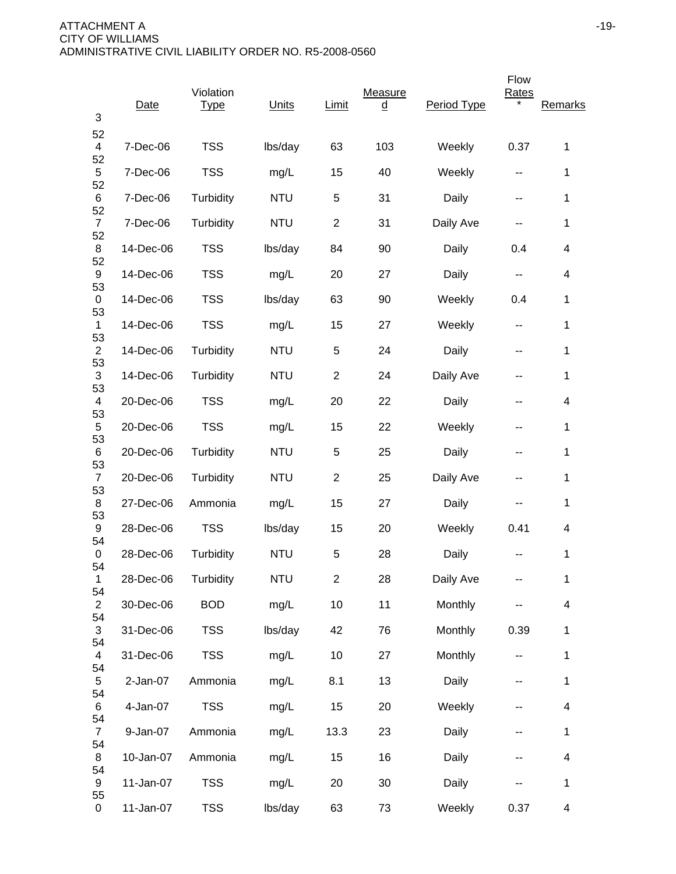| 3                          | Date      | Violation<br><u>Type</u> | <b>Units</b> | Limit          | Measure<br><u>d</u> | Period Type | Flow<br><b>Rates</b> | Remarks                  |
|----------------------------|-----------|--------------------------|--------------|----------------|---------------------|-------------|----------------------|--------------------------|
| 52<br>4                    | 7-Dec-06  | <b>TSS</b>               | lbs/day      | 63             | 103                 | Weekly      | 0.37                 | 1                        |
| 52<br>5                    | 7-Dec-06  | <b>TSS</b>               | mg/L         | 15             | 40                  | Weekly      | --                   | 1                        |
| 52<br>6                    | 7-Dec-06  | Turbidity                | <b>NTU</b>   | 5              | 31                  | Daily       | --                   | 1                        |
| 52<br>$\overline{7}$       | 7-Dec-06  | Turbidity                | <b>NTU</b>   | $\overline{2}$ | 31                  | Daily Ave   | --                   | 1                        |
| 52<br>8                    | 14-Dec-06 | <b>TSS</b>               | lbs/day      | 84             | 90                  | Daily       | 0.4                  | 4                        |
| 52<br>9                    | 14-Dec-06 | <b>TSS</b>               | mg/L         | 20             | 27                  | Daily       | --                   | 4                        |
| 53<br>0                    | 14-Dec-06 | <b>TSS</b>               | lbs/day      | 63             | 90                  | Weekly      | 0.4                  | 1                        |
| 53<br>1                    | 14-Dec-06 | <b>TSS</b>               | mg/L         | 15             | 27                  | Weekly      | --                   | 1                        |
| 53<br>$\overline{c}$<br>53 | 14-Dec-06 | Turbidity                | <b>NTU</b>   | 5              | 24                  | Daily       | --                   | 1                        |
| 3<br>53                    | 14-Dec-06 | Turbidity                | <b>NTU</b>   | $\overline{2}$ | 24                  | Daily Ave   | --                   | $\mathbf{1}$             |
| 4<br>53                    | 20-Dec-06 | <b>TSS</b>               | mg/L         | 20             | 22                  | Daily       | --                   | 4                        |
| 5<br>53                    | 20-Dec-06 | <b>TSS</b>               | mg/L         | 15             | 22                  | Weekly      | --                   | 1                        |
| 6<br>53                    | 20-Dec-06 | Turbidity                | <b>NTU</b>   | 5              | 25                  | Daily       | --                   | 1                        |
| $\overline{7}$<br>53       | 20-Dec-06 | Turbidity                | <b>NTU</b>   | $\overline{2}$ | 25                  | Daily Ave   | --                   | 1                        |
| 8<br>53                    | 27-Dec-06 | Ammonia                  | mg/L         | 15             | 27                  | Daily       | --                   | 1                        |
| 9<br>54                    | 28-Dec-06 | <b>TSS</b>               | lbs/day      | 15             | 20                  | Weekly      | 0.41                 | 4                        |
| 0<br>54                    | 28-Dec-06 | Turbidity                | <b>NTU</b>   | 5              | 28                  | Daily       |                      | 1                        |
| $\mathbf{1}$<br>54         | 28-Dec-06 | Turbidity                | <b>NTU</b>   | $\sqrt{2}$     | 28                  | Daily Ave   |                      | $\mathbf{1}$             |
| $\overline{2}$<br>54       | 30-Dec-06 | <b>BOD</b>               | mg/L         | 10             | 11                  | Monthly     |                      | $\overline{\mathbf{4}}$  |
| $\sqrt{3}$<br>54           | 31-Dec-06 | <b>TSS</b>               | lbs/day      | 42             | 76                  | Monthly     | 0.39                 | $\mathbf{1}$             |
| $\overline{4}$<br>54       | 31-Dec-06 | <b>TSS</b>               | mg/L         | 10             | 27                  | Monthly     | --                   | 1                        |
| 5<br>54                    | 2-Jan-07  | Ammonia                  | mg/L         | 8.1            | 13                  | Daily       | ۰.                   | 1                        |
| 6<br>54                    | 4-Jan-07  | <b>TSS</b>               | mg/L         | 15             | 20                  | Weekly      |                      | $\overline{\mathcal{A}}$ |
| $\overline{7}$<br>54       | 9-Jan-07  | Ammonia                  | mg/L         | 13.3           | 23                  | Daily       | --                   | $\mathbf{1}$             |
| 8                          | 10-Jan-07 | Ammonia                  | mg/L         | 15             | 16                  | Daily       |                      | $\overline{\mathbf{4}}$  |
| 54<br>9                    | 11-Jan-07 | <b>TSS</b>               | mg/L         | 20             | 30                  | Daily       |                      | $\mathbf{1}$             |
| 55<br>0                    | 11-Jan-07 | <b>TSS</b>               | lbs/day      | 63             | 73                  | Weekly      | 0.37                 | 4                        |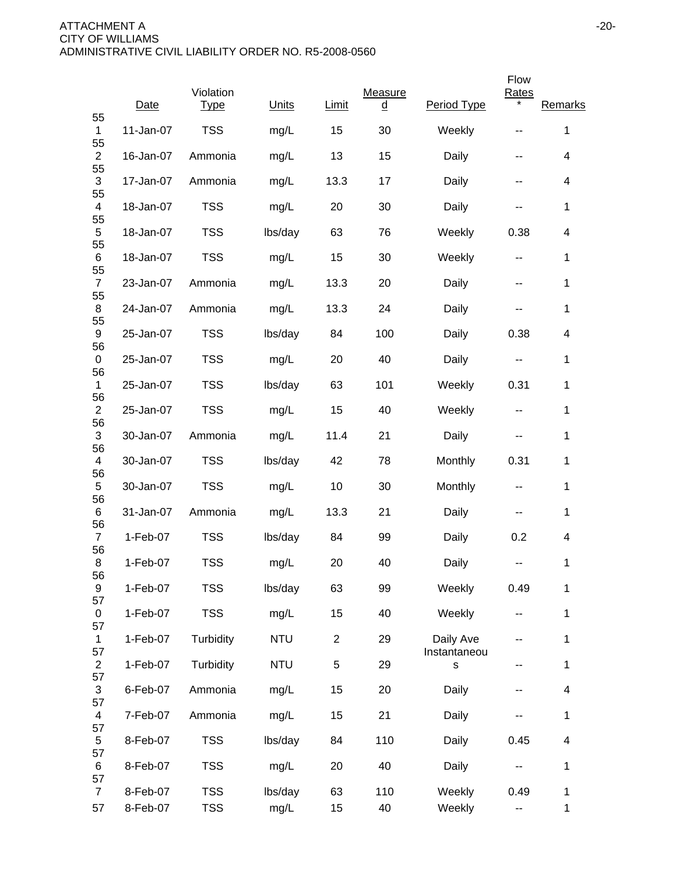|                      |             |                          |            |                |                     |                           | Flow         |                         |
|----------------------|-------------|--------------------------|------------|----------------|---------------------|---------------------------|--------------|-------------------------|
| 55                   | <b>Date</b> | Violation<br><b>Type</b> | Units      | Limit          | Measure<br><u>d</u> | Period Type               | <b>Rates</b> | Remarks                 |
| 1<br>55              | 11-Jan-07   | <b>TSS</b>               | mg/L       | 15             | 30                  | Weekly                    | --           | 1                       |
| $\overline{2}$<br>55 | 16-Jan-07   | Ammonia                  | mg/L       | 13             | 15                  | Daily                     | --           | $\overline{\mathbf{4}}$ |
| 3<br>55              | 17-Jan-07   | Ammonia                  | mg/L       | 13.3           | 17                  | Daily                     | --           | 4                       |
| 4<br>55              | 18-Jan-07   | <b>TSS</b>               | mg/L       | 20             | 30                  | Daily                     | --           | $\mathbf{1}$            |
| 5<br>55              | 18-Jan-07   | <b>TSS</b>               | lbs/day    | 63             | 76                  | Weekly                    | 0.38         | 4                       |
| 6<br>55              | 18-Jan-07   | <b>TSS</b>               | mg/L       | 15             | 30                  | Weekly                    | ۰.           | $\mathbf{1}$            |
| $\overline{7}$<br>55 | 23-Jan-07   | Ammonia                  | mg/L       | 13.3           | 20                  | Daily                     | --           | 1                       |
| 8<br>55              | 24-Jan-07   | Ammonia                  | mg/L       | 13.3           | 24                  | Daily                     | --           | $\mathbf{1}$            |
| 9<br>56              | 25-Jan-07   | <b>TSS</b>               | lbs/day    | 84             | 100                 | Daily                     | 0.38         | 4                       |
| 0<br>56              | 25-Jan-07   | <b>TSS</b>               | mg/L       | 20             | 40                  | Daily                     | --           | $\mathbf{1}$            |
| $\mathbf 1$<br>56    | 25-Jan-07   | <b>TSS</b>               | lbs/day    | 63             | 101                 | Weekly                    | 0.31         | 1                       |
| $\overline{2}$<br>56 | 25-Jan-07   | <b>TSS</b>               | mg/L       | 15             | 40                  | Weekly                    | --           | 1                       |
| $\mathfrak{S}$       | 30-Jan-07   | Ammonia                  | mg/L       | 11.4           | 21                  | Daily                     |              | 1                       |
| 56<br>4<br>56        | 30-Jan-07   | <b>TSS</b>               | lbs/day    | 42             | 78                  | Monthly                   | 0.31         | 1                       |
| 5<br>56              | 30-Jan-07   | <b>TSS</b>               | mg/L       | 10             | 30                  | Monthly                   | --           | 1                       |
| 6<br>56              | 31-Jan-07   | Ammonia                  | mg/L       | 13.3           | 21                  | Daily                     | --           | $\mathbf{1}$            |
| $\overline{7}$<br>56 | 1-Feb-07    | <b>TSS</b>               | lbs/day    | 84             | 99                  | Daily                     | 0.2          | 4                       |
| 8<br>56              | 1-Feb-07    | <b>TSS</b>               | mg/L       | 20             | 40                  | Daily                     | --           | 1                       |
| 9<br>57              | 1-Feb-07    | <b>TSS</b>               | lbs/day    | 63             | 99                  | Weekly                    | 0.49         | 1                       |
| 0<br>57              | 1-Feb-07    | <b>TSS</b>               | mg/L       | 15             | 40                  | Weekly                    | --           | $\mathbf{1}$            |
| $\mathbf{1}$<br>57   | 1-Feb-07    | Turbidity                | <b>NTU</b> | $\overline{2}$ | 29                  | Daily Ave<br>Instantaneou | --           | 1                       |
| $\overline{2}$<br>57 | 1-Feb-07    | Turbidity                | <b>NTU</b> | 5              | 29                  | S                         | --           | 1                       |
| 3<br>57              | 6-Feb-07    | Ammonia                  | mg/L       | 15             | 20                  | Daily                     | --           | $\overline{\mathbf{4}}$ |
| $\overline{4}$       | 7-Feb-07    | Ammonia                  | mg/L       | 15             | 21                  | Daily                     | --           | $\mathbf{1}$            |
| 57<br>5              | 8-Feb-07    | <b>TSS</b>               | lbs/day    | 84             | 110                 | Daily                     | 0.45         | $\overline{\mathbf{4}}$ |
| 57<br>6              | 8-Feb-07    | <b>TSS</b>               | mg/L       | 20             | 40                  | Daily                     |              | $\mathbf{1}$            |
| 57<br>$\overline{7}$ | 8-Feb-07    | <b>TSS</b>               | lbs/day    | 63             | 110                 | Weekly                    | 0.49         | 1                       |
| 57                   | 8-Feb-07    | <b>TSS</b>               | mg/L       | 15             | 40                  | Weekly                    | 44           | $\mathbf{1}$            |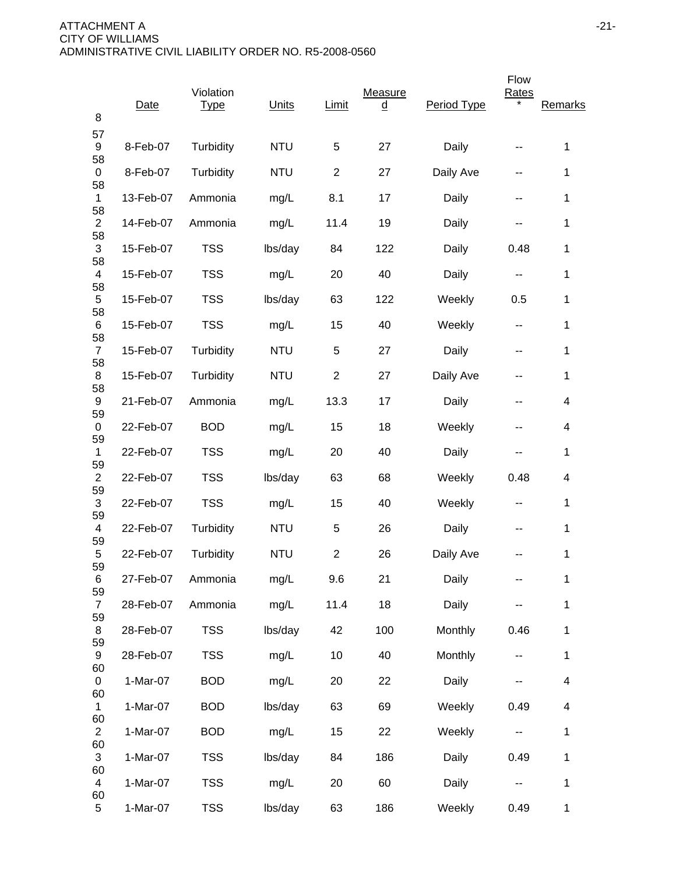| 8                    | Date      | Violation<br><b>Type</b> | Units      | Limit          | <b>Measure</b><br>$\underline{\underline{\mathsf{d}}}$ | Period Type | Flow<br><b>Rates</b>     | Remarks      |
|----------------------|-----------|--------------------------|------------|----------------|--------------------------------------------------------|-------------|--------------------------|--------------|
| 57<br>9              | 8-Feb-07  | Turbidity                | <b>NTU</b> | 5              | 27                                                     | Daily       | --                       | 1            |
| 58<br>0              | 8-Feb-07  | Turbidity                | <b>NTU</b> | $\overline{2}$ | 27                                                     | Daily Ave   | --                       | 1            |
| 58<br>$\mathbf{1}$   | 13-Feb-07 | Ammonia                  | mg/L       | 8.1            | 17                                                     | Daily       | --                       | $\mathbf 1$  |
| 58<br>$\mathbf{2}$   | 14-Feb-07 | Ammonia                  | mg/L       | 11.4           | 19                                                     | Daily       | --                       | 1            |
| 58<br>3              | 15-Feb-07 | <b>TSS</b>               | lbs/day    | 84             | 122                                                    | Daily       | 0.48                     | 1            |
| 58<br>4              | 15-Feb-07 | <b>TSS</b>               | mg/L       | 20             | 40                                                     | Daily       | --                       | 1            |
| 58<br>5              | 15-Feb-07 | <b>TSS</b>               | lbs/day    | 63             | 122                                                    | Weekly      | 0.5                      | 1            |
| 58<br>6              | 15-Feb-07 | <b>TSS</b>               | mg/L       | 15             | 40                                                     | Weekly      | --                       | $\mathbf 1$  |
| 58<br>$\overline{7}$ | 15-Feb-07 | Turbidity                | <b>NTU</b> | 5              | 27                                                     | Daily       | --                       | $\mathbf 1$  |
| 58<br>8<br>58        | 15-Feb-07 | Turbidity                | <b>NTU</b> | $\overline{2}$ | 27                                                     | Daily Ave   |                          | $\mathbf{1}$ |
| 9<br>59              | 21-Feb-07 | Ammonia                  | mg/L       | 13.3           | 17                                                     | Daily       | --                       | 4            |
| 0<br>59              | 22-Feb-07 | <b>BOD</b>               | mg/L       | 15             | 18                                                     | Weekly      | --                       | 4            |
| $\mathbf 1$<br>59    | 22-Feb-07 | <b>TSS</b>               | mg/L       | 20             | 40                                                     | Daily       | --                       | 1            |
| $\overline{2}$<br>59 | 22-Feb-07 | <b>TSS</b>               | lbs/day    | 63             | 68                                                     | Weekly      | 0.48                     | 4            |
| $\mathfrak{S}$<br>59 | 22-Feb-07 | <b>TSS</b>               | mg/L       | 15             | 40                                                     | Weekly      | --                       | 1            |
| 4<br>59              | 22-Feb-07 | Turbidity                | <b>NTU</b> | 5              | 26                                                     | Daily       | --                       | 1            |
| 5<br>59              | 22-Feb-07 | Turbidity                | <b>NTU</b> | $\overline{2}$ | 26                                                     | Daily Ave   |                          | $\mathbf{1}$ |
| 6<br>59              | 27-Feb-07 | Ammonia                  | mg/L       | 9.6            | 21                                                     | Daily       |                          | $\mathbf 1$  |
| $\overline{7}$<br>59 | 28-Feb-07 | Ammonia                  | mg/L       | 11.4           | 18                                                     | Daily       |                          | $\mathbf 1$  |
| 8<br>59              | 28-Feb-07 | <b>TSS</b>               | lbs/day    | 42             | 100                                                    | Monthly     | 0.46                     | $\mathbf 1$  |
| 9<br>60              | 28-Feb-07 | <b>TSS</b>               | mg/L       | 10             | 40                                                     | Monthly     | --                       | $\mathbf 1$  |
| 0<br>60              | 1-Mar-07  | <b>BOD</b>               | mg/L       | 20             | 22                                                     | Daily       |                          | 4            |
| $\mathbf{1}$<br>60   | 1-Mar-07  | <b>BOD</b>               | lbs/day    | 63             | 69                                                     | Weekly      | 0.49                     | 4            |
| $\overline{2}$<br>60 | 1-Mar-07  | <b>BOD</b>               | mg/L       | 15             | 22                                                     | Weekly      | $\overline{\phantom{a}}$ | $\mathbf 1$  |
| 3<br>60              | 1-Mar-07  | <b>TSS</b>               | lbs/day    | 84             | 186                                                    | Daily       | 0.49                     | $\mathbf 1$  |
| 4<br>60              | 1-Mar-07  | <b>TSS</b>               | mg/L       | 20             | 60                                                     | Daily       |                          | 1            |
| 5                    | 1-Mar-07  | <b>TSS</b>               | lbs/day    | 63             | 186                                                    | Weekly      | 0.49                     | $\mathbf 1$  |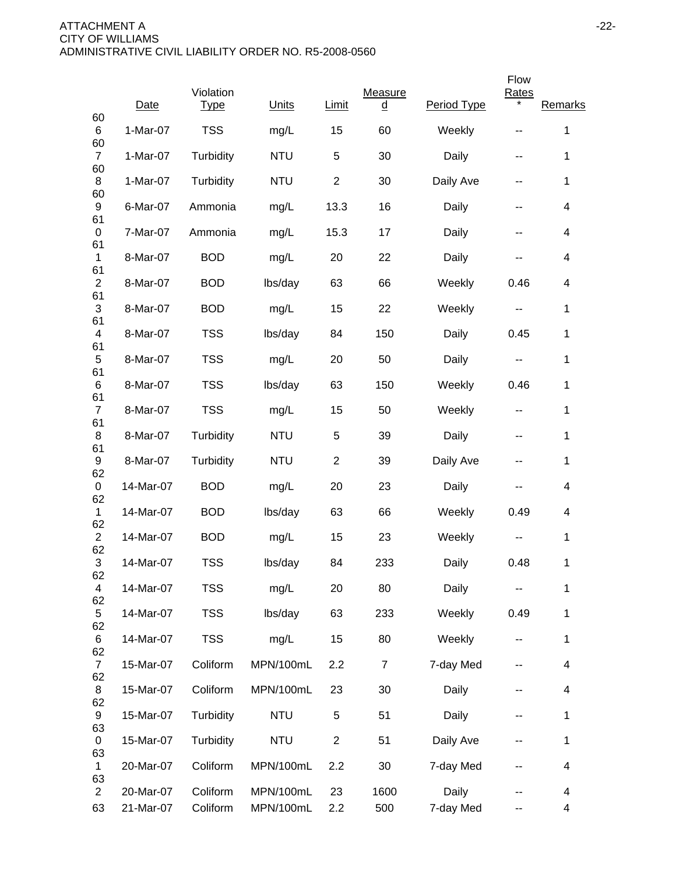|                                |            |                          |            |                |                     |             | Flow                     |                          |
|--------------------------------|------------|--------------------------|------------|----------------|---------------------|-------------|--------------------------|--------------------------|
| 60                             | Date       | Violation<br><b>Type</b> | Units      | Limit          | Measure<br><u>d</u> | Period Type | <b>Rates</b><br>*        | Remarks                  |
| 6                              | 1-Mar-07   | <b>TSS</b>               | mg/L       | 15             | 60                  | Weekly      | --                       | 1                        |
| 60<br>$\overline{7}$           | $1-Mar-07$ | Turbidity                | <b>NTU</b> | 5              | 30                  | Daily       | --                       | 1                        |
| 60<br>8<br>60                  | 1-Mar-07   | Turbidity                | <b>NTU</b> | $\overline{2}$ | 30                  | Daily Ave   | --                       | 1                        |
| 9<br>61                        | 6-Mar-07   | Ammonia                  | mg/L       | 13.3           | 16                  | Daily       | --                       | $\overline{\mathcal{A}}$ |
| 0<br>61                        | 7-Mar-07   | Ammonia                  | mg/L       | 15.3           | 17                  | Daily       | --                       | 4                        |
| $\mathbf{1}$<br>61             | 8-Mar-07   | <b>BOD</b>               | mg/L       | 20             | 22                  | Daily       | --                       | $\overline{\mathcal{A}}$ |
| $\mathbf{2}$<br>61             | 8-Mar-07   | <b>BOD</b>               | lbs/day    | 63             | 66                  | Weekly      | 0.46                     | 4                        |
| 3<br>61                        | 8-Mar-07   | <b>BOD</b>               | mg/L       | 15             | 22                  | Weekly      | $\sim$ $\sim$            | 1                        |
| $\overline{\mathcal{A}}$<br>61 | 8-Mar-07   | <b>TSS</b>               | lbs/day    | 84             | 150                 | Daily       | 0.45                     | 1                        |
| 5<br>61                        | 8-Mar-07   | <b>TSS</b>               | mg/L       | 20             | 50                  | Daily       | --                       | 1                        |
| 6                              | 8-Mar-07   | <b>TSS</b>               | lbs/day    | 63             | 150                 | Weekly      | 0.46                     | 1                        |
| 61<br>$\overline{7}$<br>61     | 8-Mar-07   | <b>TSS</b>               | mg/L       | 15             | 50                  | Weekly      | --                       | 1                        |
| 8                              | 8-Mar-07   | Turbidity                | <b>NTU</b> | 5              | 39                  | Daily       | $\overline{\phantom{a}}$ | 1                        |
| 61<br>9<br>62                  | 8-Mar-07   | Turbidity                | <b>NTU</b> | $\overline{2}$ | 39                  | Daily Ave   | --                       | $\mathbf{1}$             |
| 0<br>62                        | 14-Mar-07  | <b>BOD</b>               | mg/L       | 20             | 23                  | Daily       | --                       | 4                        |
| $\mathbf 1$<br>62              | 14-Mar-07  | <b>BOD</b>               | lbs/day    | 63             | 66                  | Weekly      | 0.49                     | 4                        |
| $\overline{c}$<br>62           | 14-Mar-07  | <b>BOD</b>               | mg/L       | 15             | 23                  | Weekly      | --                       | 1                        |
| 3<br>62                        | 14-Mar-07  | <b>TSS</b>               | lbs/day    | 84             | 233                 | Daily       | 0.48                     | 1                        |
| 4<br>62                        | 14-Mar-07  | <b>TSS</b>               | mg/L       | 20             | 80                  | Daily       |                          | 1                        |
| 5<br>62                        | 14-Mar-07  | <b>TSS</b>               | lbs/day    | 63             | 233                 | Weekly      | 0.49                     | $\mathbf{1}$             |
| 6<br>62                        | 14-Mar-07  | <b>TSS</b>               | mg/L       | 15             | 80                  | Weekly      | ۰.                       | 1                        |
| $\overline{7}$                 | 15-Mar-07  | Coliform                 | MPN/100mL  | 2.2            | $\overline{7}$      | 7-day Med   | --                       | $\overline{\mathcal{A}}$ |
| 62<br>8<br>62                  | 15-Mar-07  | Coliform                 | MPN/100mL  | 23             | 30                  | Daily       | --                       | $\overline{\mathcal{A}}$ |
| 9                              | 15-Mar-07  | Turbidity                | <b>NTU</b> | 5              | 51                  | Daily       | --                       | 1                        |
| 63<br>0<br>63                  | 15-Mar-07  | Turbidity                | <b>NTU</b> | $\overline{c}$ | 51                  | Daily Ave   | --                       | $\mathbf 1$              |
| 1<br>63                        | 20-Mar-07  | Coliform                 | MPN/100mL  | 2.2            | 30                  | 7-day Med   | --                       | 4                        |
| $\overline{2}$                 | 20-Mar-07  | Coliform                 | MPN/100mL  | 23             | 1600                | Daily       |                          | 4                        |
| 63                             | 21-Mar-07  | Coliform                 | MPN/100mL  | 2.2            | 500                 | 7-day Med   |                          | 4                        |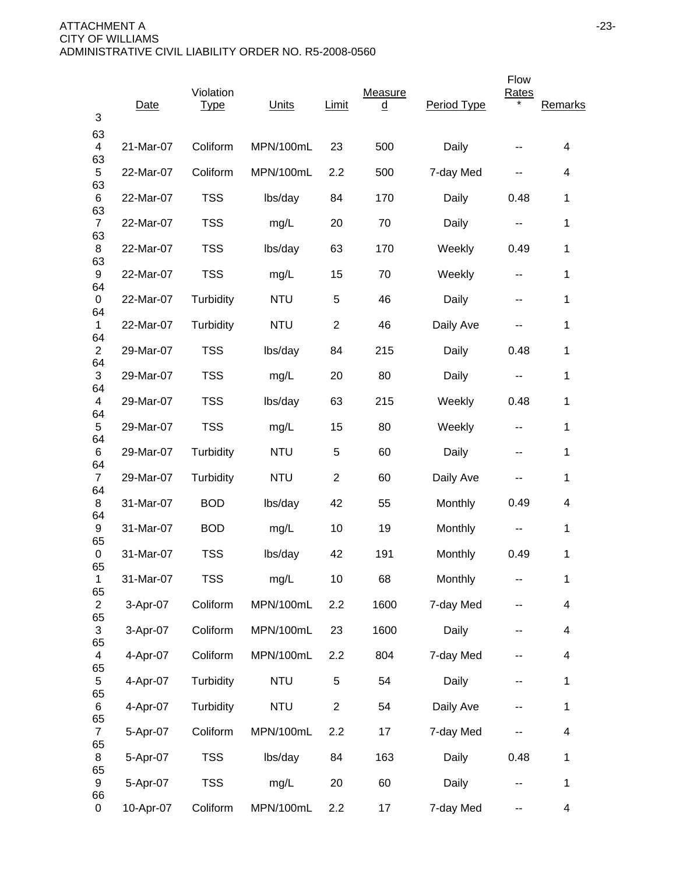|                                 | <b>Date</b> | Violation<br><b>Type</b> | Units      | Limit          | Measure<br><u>d</u> | Period Type | Flow<br>Rates | Remarks      |
|---------------------------------|-------------|--------------------------|------------|----------------|---------------------|-------------|---------------|--------------|
| 3                               |             |                          |            |                |                     |             |               |              |
| 63<br>$\overline{4}$<br>63      | 21-Mar-07   | Coliform                 | MPN/100mL  | 23             | 500                 | Daily       |               | 4            |
| 5                               | 22-Mar-07   | Coliform                 | MPN/100mL  | 2.2            | 500                 | 7-day Med   | --            | 4            |
| 63<br>6                         | 22-Mar-07   | <b>TSS</b>               | lbs/day    | 84             | 170                 | Daily       | 0.48          | 1            |
| 63<br>$\overline{7}$            | 22-Mar-07   | <b>TSS</b>               | mg/L       | 20             | 70                  | Daily       | н.            | 1            |
| 63<br>8                         | 22-Mar-07   | <b>TSS</b>               | lbs/day    | 63             | 170                 | Weekly      | 0.49          | $\mathbf{1}$ |
| 63<br>9                         | 22-Mar-07   | <b>TSS</b>               | mg/L       | 15             | 70                  | Weekly      | --            | $\mathbf{1}$ |
| 64<br>0                         | 22-Mar-07   | Turbidity                | <b>NTU</b> | 5              | 46                  | Daily       | --            | 1            |
| 64<br>$\mathbf 1$               | 22-Mar-07   | Turbidity                | <b>NTU</b> | $\overline{2}$ | 46                  | Daily Ave   |               | 1            |
| 64<br>$\overline{2}$            | 29-Mar-07   | <b>TSS</b>               | lbs/day    | 84             | 215                 | Daily       | 0.48          | 1            |
| 64<br>$\mathfrak{S}$            | 29-Mar-07   | <b>TSS</b>               | mg/L       | 20             | 80                  | Daily       |               | 1            |
| 64<br>4                         | 29-Mar-07   | <b>TSS</b>               | lbs/day    | 63             | 215                 | Weekly      | 0.48          | $\mathbf{1}$ |
| 64<br>5                         | 29-Mar-07   | <b>TSS</b>               | mg/L       | 15             | 80                  | Weekly      | --            | 1            |
| 64<br>6                         | 29-Mar-07   | Turbidity                | <b>NTU</b> | 5              | 60                  | Daily       | --            | 1            |
| 64<br>$\overline{7}$            | 29-Mar-07   | Turbidity                | <b>NTU</b> | $\overline{2}$ | 60                  | Daily Ave   | --            | 1            |
| 64<br>8                         | 31-Mar-07   | <b>BOD</b>               | lbs/day    | 42             | 55                  | Monthly     | 0.49          | 4            |
| 64<br>9                         | 31-Mar-07   | <b>BOD</b>               | mg/L       | 10             | 19                  | Monthly     | н.            | 1            |
| 65<br>0                         | 31-Mar-07   | <b>TSS</b>               | lbs/day    | 42             | 191                 | Monthly     | 0.49          | $\mathbf{1}$ |
| 65<br>1                         | 31-Mar-07   | <b>TSS</b>               | mg/L       | 10             | 68                  | Monthly     | ۰.            | $\mathbf 1$  |
| 65<br>$\overline{2}$            | 3-Apr-07    | Coliform                 | MPN/100mL  | 2.2            | 1600                | 7-day Med   | --            | 4            |
| 65<br>$\ensuremath{\mathsf{3}}$ | 3-Apr-07    | Coliform                 | MPN/100mL  | 23             | 1600                | Daily       |               | 4            |
| 65<br>$\overline{\mathcal{A}}$  | 4-Apr-07    | Coliform                 | MPN/100mL  | 2.2            | 804                 | 7-day Med   | --            | 4            |
| 65<br>5                         | 4-Apr-07    | Turbidity                | <b>NTU</b> | 5              | 54                  | Daily       | --            | $\mathbf 1$  |
| 65<br>6                         | 4-Apr-07    | Turbidity                | <b>NTU</b> | $\overline{c}$ | 54                  | Daily Ave   |               | $\mathbf 1$  |
| 65<br>$\overline{7}$            | 5-Apr-07    | Coliform                 | MPN/100mL  | 2.2            | 17                  | 7-day Med   |               | 4            |
| 65<br>8                         | 5-Apr-07    | <b>TSS</b>               | lbs/day    | 84             | 163                 | Daily       | 0.48          | $\mathbf 1$  |
| 65<br>9                         | 5-Apr-07    | <b>TSS</b>               | mg/L       | 20             | 60                  | Daily       | --            | $\mathbf 1$  |
| 66<br>0                         | 10-Apr-07   | Coliform                 | MPN/100mL  | 2.2            | 17                  | 7-day Med   | --            | 4            |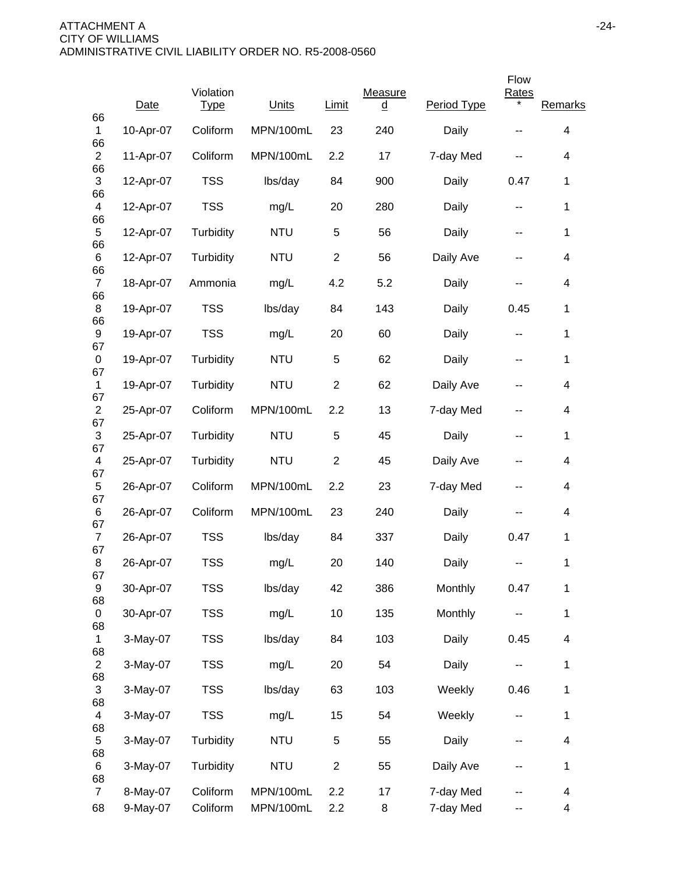|                                |           |                          |            |                |                                    |             | Flow  |         |
|--------------------------------|-----------|--------------------------|------------|----------------|------------------------------------|-------------|-------|---------|
| 66                             | Date      | Violation<br><b>Type</b> | Units      | Limit          | Measure<br>$\overline{\mathsf{q}}$ | Period Type | Rates | Remarks |
| 1                              | 10-Apr-07 | Coliform                 | MPN/100mL  | 23             | 240                                | Daily       |       | 4       |
| 66<br>$\overline{2}$<br>66     | 11-Apr-07 | Coliform                 | MPN/100mL  | 2.2            | 17                                 | 7-day Med   |       | 4       |
| 3<br>66                        | 12-Apr-07 | <b>TSS</b>               | lbs/day    | 84             | 900                                | Daily       | 0.47  | 1       |
| 4<br>66                        | 12-Apr-07 | <b>TSS</b>               | mg/L       | 20             | 280                                | Daily       | --    | 1       |
| 5<br>66                        | 12-Apr-07 | Turbidity                | <b>NTU</b> | 5              | 56                                 | Daily       | --    | 1       |
| 6                              | 12-Apr-07 | Turbidity                | <b>NTU</b> | $\overline{2}$ | 56                                 | Daily Ave   | --    | 4       |
| 66<br>$\overline{7}$<br>66     | 18-Apr-07 | Ammonia                  | mg/L       | 4.2            | 5.2                                | Daily       | --    | 4       |
| 8                              | 19-Apr-07 | <b>TSS</b>               | lbs/day    | 84             | 143                                | Daily       | 0.45  | 1       |
| 66<br>9                        | 19-Apr-07 | <b>TSS</b>               | mg/L       | 20             | 60                                 | Daily       | --    | 1       |
| 67<br>0                        | 19-Apr-07 | Turbidity                | <b>NTU</b> | 5              | 62                                 | Daily       | --    | 1       |
| 67<br>$\mathbf{1}$             | 19-Apr-07 | Turbidity                | <b>NTU</b> | $\overline{2}$ | 62                                 | Daily Ave   | --    | 4       |
| 67<br>$\mathbf{2}$             | 25-Apr-07 | Coliform                 | MPN/100mL  | 2.2            | 13                                 | 7-day Med   | --    | 4       |
| 67<br>3                        | 25-Apr-07 | Turbidity                | <b>NTU</b> | 5              | 45                                 | Daily       | --    | 1       |
| 67<br>4                        | 25-Apr-07 | Turbidity                | <b>NTU</b> | $\overline{2}$ | 45                                 | Daily Ave   | --    | 4       |
| 67<br>5<br>67                  | 26-Apr-07 | Coliform                 | MPN/100mL  | 2.2            | 23                                 | 7-day Med   | --    | 4       |
| 6<br>67                        | 26-Apr-07 | Coliform                 | MPN/100mL  | 23             | 240                                | Daily       |       | 4       |
| $\overline{7}$<br>67           | 26-Apr-07 | <b>TSS</b>               | lbs/day    | 84             | 337                                | Daily       | 0.47  | 1       |
| 8                              | 26-Apr-07 | <b>TSS</b>               | mg/L       | 20             | 140                                | Daily       | --    | 1       |
| 67<br>9                        | 30-Apr-07 | <b>TSS</b>               | lbs/day    | 42             | 386                                | Monthly     | 0.47  | 1       |
| 68<br>0                        | 30-Apr-07 | <b>TSS</b>               | mg/L       | 10             | 135                                | Monthly     |       | 1       |
| 68<br>1                        | 3-May-07  | <b>TSS</b>               | lbs/day    | 84             | 103                                | Daily       | 0.45  | 4       |
| 68<br>$\overline{2}$           | 3-May-07  | <b>TSS</b>               | mg/L       | 20             | 54                                 | Daily       | --    | 1       |
| 68<br>3                        | 3-May-07  | <b>TSS</b>               | lbs/day    | 63             | 103                                | Weekly      | 0.46  | 1       |
| 68<br>$\overline{\mathcal{A}}$ | 3-May-07  | <b>TSS</b>               | mg/L       | 15             | 54                                 | Weekly      | --    | 1       |
| 68<br>5                        | 3-May-07  | Turbidity                | <b>NTU</b> | 5              | 55                                 | Daily       | --    | 4       |
| 68<br>6<br>68                  | 3-May-07  | Turbidity                | <b>NTU</b> | $\overline{2}$ | 55                                 | Daily Ave   | --    | 1       |
| $\overline{7}$                 | 8-May-07  | Coliform                 | MPN/100mL  | 2.2            | 17                                 | 7-day Med   |       | 4       |
| 68                             | 9-May-07  | Coliform                 | MPN/100mL  | 2.2            | 8                                  | 7-day Med   | --    | 4       |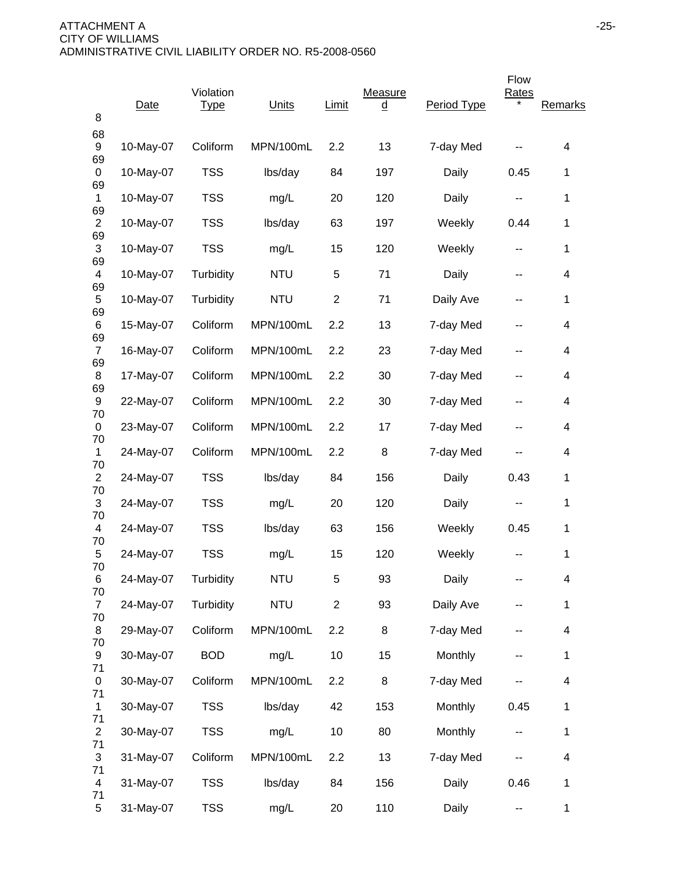| 8                    | Date      | Violation<br><b>Type</b> | Units      | Limit          | Measure<br><u>d</u> | Period Type | Flow<br>Rates            | Remarks      |
|----------------------|-----------|--------------------------|------------|----------------|---------------------|-------------|--------------------------|--------------|
| 68<br>9              | 10-May-07 | Coliform                 | MPN/100mL  | 2.2            | 13                  | 7-day Med   |                          | 4            |
| 69<br>0              | 10-May-07 | <b>TSS</b>               | lbs/day    | 84             | 197                 | Daily       | 0.45                     | 1            |
| 69<br>$\mathbf 1$    | 10-May-07 | <b>TSS</b>               | mg/L       | 20             | 120                 | Daily       | $\overline{\phantom{a}}$ | 1            |
| 69<br>$\overline{2}$ | 10-May-07 | <b>TSS</b>               | lbs/day    | 63             | 197                 | Weekly      | 0.44                     | 1            |
| 69<br>3              | 10-May-07 | <b>TSS</b>               | mg/L       | 15             | 120                 | Weekly      | --                       | 1            |
| 69<br>4              | 10-May-07 | Turbidity                | <b>NTU</b> | 5              | 71                  | Daily       | --                       | 4            |
| 69<br>$\sqrt{5}$     | 10-May-07 | Turbidity                | <b>NTU</b> | $\overline{c}$ | 71                  | Daily Ave   |                          | 1            |
| 69<br>6              | 15-May-07 | Coliform                 | MPN/100mL  | 2.2            | 13                  | 7-day Med   | --                       | 4            |
| 69<br>$\overline{7}$ | 16-May-07 | Coliform                 | MPN/100mL  | 2.2            | 23                  | 7-day Med   | --                       | 4            |
| 69<br>8              | 17-May-07 | Coliform                 | MPN/100mL  | 2.2            | 30                  | 7-day Med   | --                       | 4            |
| 69<br>9              | 22-May-07 | Coliform                 | MPN/100mL  | 2.2            | 30                  | 7-day Med   | --                       | 4            |
| 70<br>0              | 23-May-07 | Coliform                 | MPN/100mL  | 2.2            | 17                  | 7-day Med   | --                       | 4            |
| 70<br>$\mathbf{1}$   | 24-May-07 | Coliform                 | MPN/100mL  | 2.2            | 8                   | 7-day Med   |                          | 4            |
| 70<br>$\overline{2}$ | 24-May-07 | <b>TSS</b>               | lbs/day    | 84             | 156                 | Daily       | 0.43                     | 1            |
| 70<br>3              | 24-May-07 | <b>TSS</b>               | mg/L       | 20             | 120                 | Daily       | н.                       | 1            |
| 70<br>4              | 24-May-07 | <b>TSS</b>               | lbs/day    | 63             | 156                 | Weekly      | 0.45                     | 1            |
| 70<br>5              | 24-May-07 | <b>TSS</b>               | mg/L       | 15             | 120                 | Weekly      |                          | 1            |
| 70<br>6<br>70        | 24-May-07 | Turbidity                | <b>NTU</b> | 5              | 93                  | Daily       | --                       | 4            |
| $\overline{7}$       | 24-May-07 | Turbidity                | <b>NTU</b> | $\overline{2}$ | 93                  | Daily Ave   | --                       | 1            |
| 70<br>8              | 29-May-07 | Coliform                 | MPN/100mL  | 2.2            | 8                   | 7-day Med   |                          | 4            |
| 70<br>9<br>71        | 30-May-07 | <b>BOD</b>               | mg/L       | 10             | 15                  | Monthly     | --                       | 1            |
| 0                    | 30-May-07 | Coliform                 | MPN/100mL  | 2.2            | 8                   | 7-day Med   | --                       | 4            |
| 71<br>$\mathbf 1$    | 30-May-07 | <b>TSS</b>               | lbs/day    | 42             | 153                 | Monthly     | 0.45                     | 1            |
| 71<br>$\overline{c}$ | 30-May-07 | <b>TSS</b>               | mg/L       | 10             | 80                  | Monthly     | ۰.                       | 1            |
| 71<br>3              | 31-May-07 | Coliform                 | MPN/100mL  | 2.2            | 13                  | 7-day Med   |                          | 4            |
| 71<br>4              | 31-May-07 | <b>TSS</b>               | lbs/day    | 84             | 156                 | Daily       | 0.46                     | 1            |
| 71<br>5              | 31-May-07 | <b>TSS</b>               | mg/L       | 20             | 110                 | Daily       | 44                       | $\mathbf{1}$ |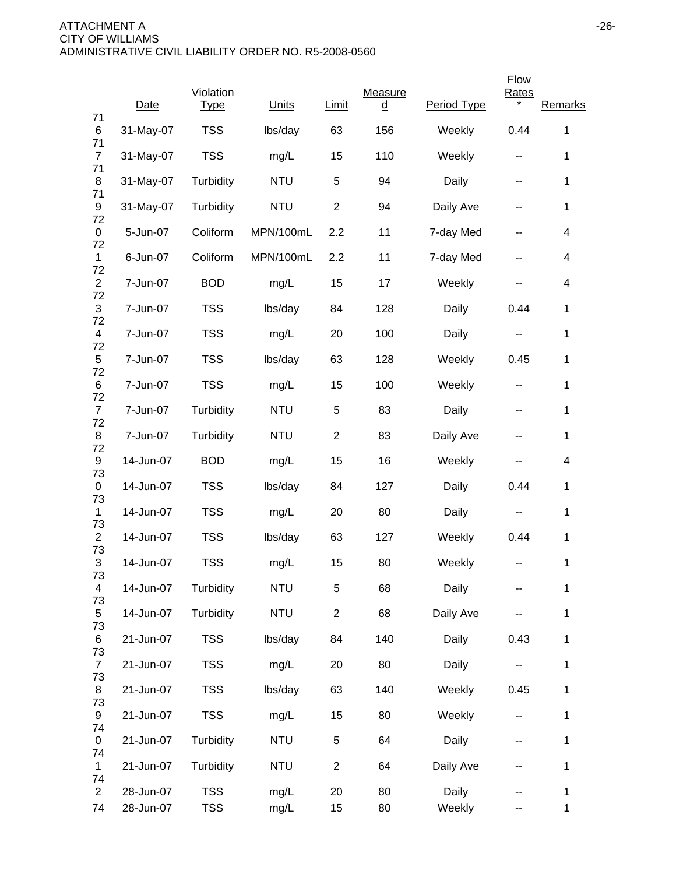|                      |           |                          |            |                |                     |             | Flow         |              |
|----------------------|-----------|--------------------------|------------|----------------|---------------------|-------------|--------------|--------------|
| 71                   | Date      | Violation<br><b>Type</b> | Units      | Limit          | Measure<br><u>d</u> | Period Type | <b>Rates</b> | Remarks      |
| 6<br>71              | 31-May-07 | <b>TSS</b>               | lbs/day    | 63             | 156                 | Weekly      | 0.44         | 1            |
| $\overline{7}$<br>71 | 31-May-07 | <b>TSS</b>               | mg/L       | 15             | 110                 | Weekly      | --           | 1            |
| 8<br>71              | 31-May-07 | Turbidity                | <b>NTU</b> | 5              | 94                  | Daily       | --           | 1            |
| 9<br>72              | 31-May-07 | Turbidity                | <b>NTU</b> | $\overline{c}$ | 94                  | Daily Ave   | --           | 1            |
| 0<br>72              | 5-Jun-07  | Coliform                 | MPN/100mL  | 2.2            | 11                  | 7-day Med   | --           | 4            |
| $\mathbf{1}$         | 6-Jun-07  | Coliform                 | MPN/100mL  | 2.2            | 11                  | 7-day Med   | --           | 4            |
| 72<br>$\overline{2}$ | 7-Jun-07  | <b>BOD</b>               | mg/L       | 15             | 17                  | Weekly      | --           | 4            |
| 72<br>$\mathfrak{S}$ | 7-Jun-07  | <b>TSS</b>               | lbs/day    | 84             | 128                 | Daily       | 0.44         | 1            |
| 72<br>$\overline{4}$ | 7-Jun-07  | <b>TSS</b>               | mg/L       | 20             | 100                 | Daily       | --           | 1            |
| 72<br>5              | 7-Jun-07  | <b>TSS</b>               | lbs/day    | 63             | 128                 | Weekly      | 0.45         | 1            |
| 72<br>6              | 7-Jun-07  | <b>TSS</b>               | mg/L       | 15             | 100                 | Weekly      | --           | 1            |
| 72<br>$\overline{7}$ | 7-Jun-07  | Turbidity                | <b>NTU</b> | 5              | 83                  | Daily       | --           | 1            |
| 72<br>8              | 7-Jun-07  | Turbidity                | <b>NTU</b> | $\overline{c}$ | 83                  | Daily Ave   | --           | 1            |
| 72<br>9              | 14-Jun-07 | <b>BOD</b>               | mg/L       | 15             | 16                  | Weekly      |              | 4            |
| 73<br>0              | 14-Jun-07 | <b>TSS</b>               | lbs/day    | 84             | 127                 | Daily       | 0.44         | 1            |
| 73<br>$\mathbf 1$    | 14-Jun-07 | <b>TSS</b>               | mg/L       | 20             | 80                  | Daily       | --           | 1            |
| 73<br>$\overline{2}$ | 14-Jun-07 | <b>TSS</b>               | lbs/day    | 63             | 127                 | Weekly      | 0.44         | 1            |
| 73<br>3              | 14-Jun-07 | <b>TSS</b>               | mg/L       | 15             | 80                  | Weekly      | --           | 1            |
| 73<br>4              | 14-Jun-07 | Turbidity                | <b>NTU</b> | $\,$ 5 $\,$    | 68                  | Daily       |              | 1            |
| 73<br>5              | 14-Jun-07 | Turbidity                | <b>NTU</b> | $\overline{2}$ | 68                  | Daily Ave   |              | $\mathbf 1$  |
| 73<br>6              | 21-Jun-07 | <b>TSS</b>               | lbs/day    | 84             | 140                 | Daily       | 0.43         | 1            |
| 73<br>$\overline{7}$ | 21-Jun-07 | <b>TSS</b>               | mg/L       | 20             | 80                  | Daily       | ۰.           | 1            |
| 73<br>8              | 21-Jun-07 | <b>TSS</b>               | lbs/day    | 63             | 140                 | Weekly      | 0.45         | 1            |
| 73<br>9              | 21-Jun-07 | <b>TSS</b>               | mg/L       | 15             | 80                  | Weekly      | --           | 1            |
| 74<br>0              | 21-Jun-07 | Turbidity                | <b>NTU</b> | 5              | 64                  | Daily       | --           | 1            |
| 74<br>$\mathbf{1}$   | 21-Jun-07 | Turbidity                | <b>NTU</b> | $\overline{2}$ | 64                  | Daily Ave   | --           | $\mathbf 1$  |
| 74<br>$\overline{2}$ | 28-Jun-07 | <b>TSS</b>               | mg/L       | 20             | 80                  | Daily       |              | 1            |
| 74                   | 28-Jun-07 | <b>TSS</b>               | mg/L       | 15             | 80                  | Weekly      | --           | $\mathbf{1}$ |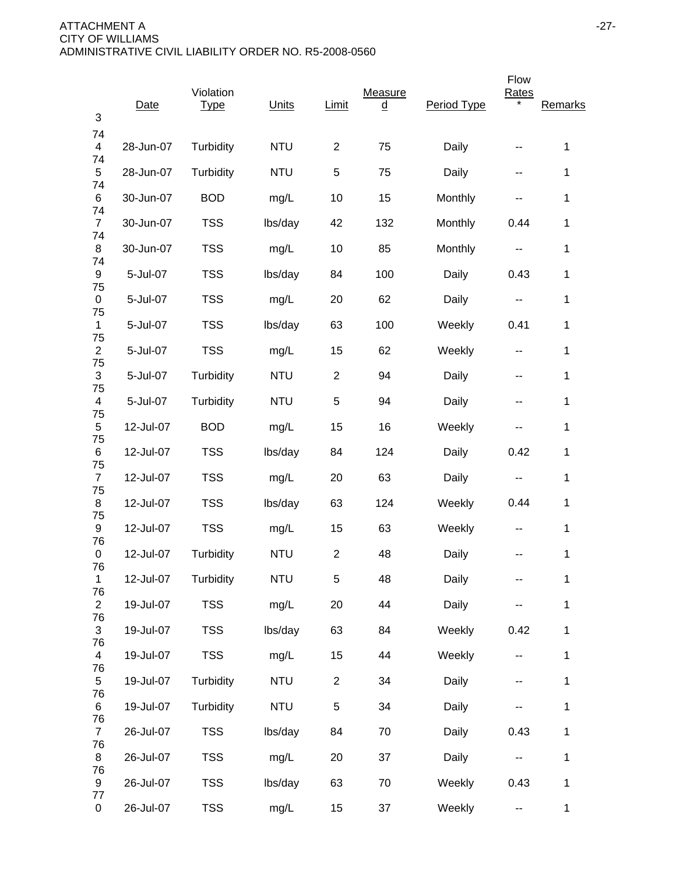| 3                    | Date      | Violation<br><b>Type</b> | Units      | Limit          | Measure<br>$\underline{\underline{\mathsf{d}}}$ | Period Type | Flow<br>Rates            | Remarks      |
|----------------------|-----------|--------------------------|------------|----------------|-------------------------------------------------|-------------|--------------------------|--------------|
| 74<br>$\overline{4}$ | 28-Jun-07 | Turbidity                | <b>NTU</b> | $\overline{2}$ | 75                                              | Daily       |                          | 1            |
| 74<br>5              | 28-Jun-07 | Turbidity                | <b>NTU</b> | 5              | 75                                              | Daily       | --                       | 1            |
| 74<br>6              | 30-Jun-07 | <b>BOD</b>               | mg/L       | 10             | 15                                              | Monthly     |                          | 1            |
| 74<br>$\overline{7}$ | 30-Jun-07 | <b>TSS</b>               | lbs/day    | 42             | 132                                             | Monthly     | 0.44                     | $\mathbf{1}$ |
| 74<br>8              | 30-Jun-07 | <b>TSS</b>               | mg/L       | 10             | 85                                              | Monthly     | н.                       | $\mathbf{1}$ |
| 74<br>9              | 5-Jul-07  | <b>TSS</b>               | lbs/day    | 84             | 100                                             | Daily       | 0.43                     | 1            |
| 75<br>0              | 5-Jul-07  | <b>TSS</b>               | mg/L       | 20             | 62                                              | Daily       | --                       | $\mathbf 1$  |
| 75<br>$\mathbf{1}$   | 5-Jul-07  | <b>TSS</b>               | lbs/day    | 63             | 100                                             | Weekly      | 0.41                     | $\mathbf{1}$ |
| 75<br>$\overline{c}$ | 5-Jul-07  | <b>TSS</b>               | mg/L       | 15             | 62                                              | Weekly      | $\overline{\phantom{a}}$ | $\mathbf 1$  |
| 75<br>$\mathfrak{S}$ | 5-Jul-07  | Turbidity                | <b>NTU</b> | $\overline{2}$ | 94                                              | Daily       | --                       | $\mathbf{1}$ |
| 75<br>4              | 5-Jul-07  | Turbidity                | <b>NTU</b> | 5              | 94                                              | Daily       | --                       | $\mathbf{1}$ |
| 75<br>5              | 12-Jul-07 | <b>BOD</b>               | mg/L       | 15             | 16                                              | Weekly      | --                       | $\mathbf{1}$ |
| 75<br>6              | 12-Jul-07 | <b>TSS</b>               | lbs/day    | 84             | 124                                             | Daily       | 0.42                     | $\mathbf{1}$ |
| 75<br>$\overline{7}$ | 12-Jul-07 | <b>TSS</b>               | mg/L       | 20             | 63                                              | Daily       | --                       | 1            |
| 75<br>8              | 12-Jul-07 | <b>TSS</b>               | lbs/day    | 63             | 124                                             | Weekly      | 0.44                     | 1            |
| 75<br>9              | 12-Jul-07 | <b>TSS</b>               | mg/L       | 15             | 63                                              | Weekly      | $\sim$ $\sim$            | 1            |
| 76<br>0              | 12-Jul-07 | Turbidity                | <b>NTU</b> | $\overline{2}$ | 48                                              | Daily       |                          | $\mathbf{1}$ |
| 76<br>$\mathbf{1}$   | 12-Jul-07 | Turbidity                | <b>NTU</b> | $\sqrt{5}$     | 48                                              | Daily       | --                       | $\mathbf 1$  |
| 76<br>$\overline{2}$ | 19-Jul-07 | <b>TSS</b>               | mg/L       | 20             | 44                                              | Daily       |                          | $\mathbf{1}$ |
| 76<br>3              | 19-Jul-07 | <b>TSS</b>               | lbs/day    | 63             | 84                                              | Weekly      | 0.42                     | $\mathbf 1$  |
| 76<br>$\overline{4}$ | 19-Jul-07 | <b>TSS</b>               | mg/L       | 15             | 44                                              | Weekly      | $\overline{a}$           | $\mathbf 1$  |
| 76<br>5              | 19-Jul-07 | Turbidity                | <b>NTU</b> | $\overline{2}$ | 34                                              | Daily       | --                       | $\mathbf 1$  |
| 76<br>6              | 19-Jul-07 | Turbidity                | <b>NTU</b> | 5              | 34                                              | Daily       |                          | $\mathbf 1$  |
| 76<br>$\overline{7}$ | 26-Jul-07 | <b>TSS</b>               | lbs/day    | 84             | 70                                              | Daily       | 0.43                     | $\mathbf{1}$ |
| 76<br>8              | 26-Jul-07 | <b>TSS</b>               | mg/L       | 20             | 37                                              | Daily       | ۰.                       | $\mathbf{1}$ |
| 76<br>9              | 26-Jul-07 | <b>TSS</b>               | lbs/day    | 63             | 70                                              | Weekly      | 0.43                     | $\mathbf 1$  |
| 77<br>$\pmb{0}$      | 26-Jul-07 | <b>TSS</b>               | mg/L       | 15             | 37                                              | Weekly      | 44                       | $\mathbf{1}$ |